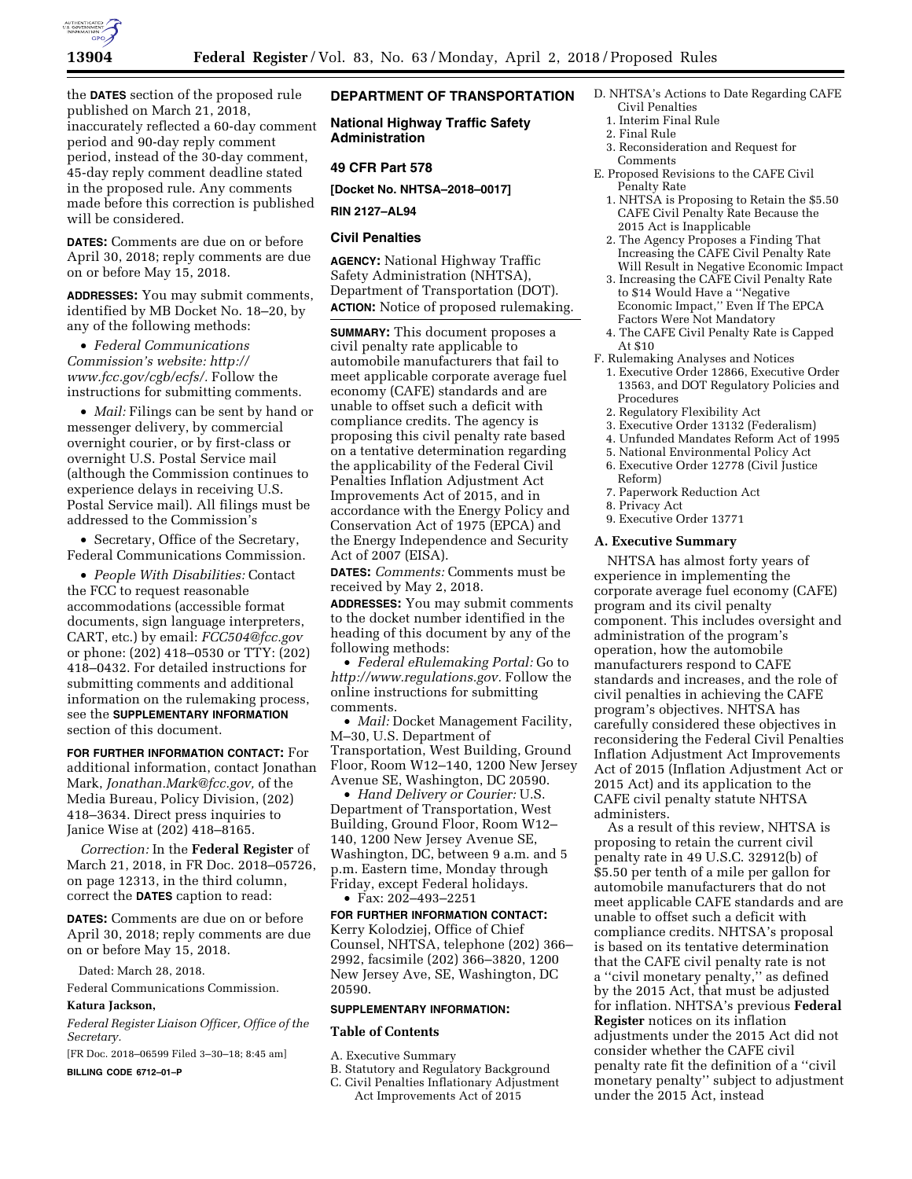

the **DATES** section of the proposed rule published on March 21, 2018, inaccurately reflected a 60-day comment period and 90-day reply comment period, instead of the 30-day comment, 45-day reply comment deadline stated in the proposed rule. Any comments made before this correction is published will be considered.

**DATES:** Comments are due on or before April 30, 2018; reply comments are due on or before May 15, 2018.

**ADDRESSES:** You may submit comments, identified by MB Docket No. 18–20, by any of the following methods:

• *Federal Communications Commission's website: [http://](http://www.fcc.gov/cgb/ecfs/) [www.fcc.gov/cgb/ecfs/.](http://www.fcc.gov/cgb/ecfs/)* Follow the instructions for submitting comments.

• *Mail:* Filings can be sent by hand or messenger delivery, by commercial overnight courier, or by first-class or overnight U.S. Postal Service mail (although the Commission continues to experience delays in receiving U.S. Postal Service mail). All filings must be addressed to the Commission's

• Secretary, Office of the Secretary, Federal Communications Commission.

• *People With Disabilities:* Contact the FCC to request reasonable accommodations (accessible format documents, sign language interpreters, CART, etc.) by email: *[FCC504@fcc.gov](mailto:FCC504@fcc.gov)*  or phone: (202) 418–0530 or TTY: (202) 418–0432. For detailed instructions for submitting comments and additional information on the rulemaking process, see the **SUPPLEMENTARY INFORMATION** section of this document.

**FOR FURTHER INFORMATION CONTACT:** For additional information, contact Jonathan Mark, *[Jonathan.Mark@fcc.gov,](mailto:Jonathan.Mark@fcc.gov)* of the Media Bureau, Policy Division, (202) 418–3634. Direct press inquiries to Janice Wise at (202) 418–8165.

*Correction:* In the **Federal Register** of March 21, 2018, in FR Doc. 2018–05726, on page 12313, in the third column, correct the **DATES** caption to read:

**DATES:** Comments are due on or before April 30, 2018; reply comments are due on or before May 15, 2018.

Dated: March 28, 2018.

Federal Communications Commission.

## **Katura Jackson,**

*Federal Register Liaison Officer, Office of the Secretary.* 

[FR Doc. 2018–06599 Filed 3–30–18; 8:45 am]

**BILLING CODE 6712–01–P** 

# **DEPARTMENT OF TRANSPORTATION**

**National Highway Traffic Safety Administration** 

## **49 CFR Part 578**

**[Docket No. NHTSA–2018–0017]** 

# **RIN 2127–AL94**

## **Civil Penalties**

**AGENCY:** National Highway Traffic Safety Administration (NHTSA), Department of Transportation (DOT). **ACTION:** Notice of proposed rulemaking.

**SUMMARY:** This document proposes a civil penalty rate applicable to automobile manufacturers that fail to meet applicable corporate average fuel economy (CAFE) standards and are unable to offset such a deficit with compliance credits. The agency is proposing this civil penalty rate based on a tentative determination regarding the applicability of the Federal Civil Penalties Inflation Adjustment Act Improvements Act of 2015, and in accordance with the Energy Policy and Conservation Act of 1975 (EPCA) and the Energy Independence and Security Act of 2007 (EISA).

**DATES:** *Comments:* Comments must be received by May 2, 2018.

**ADDRESSES:** You may submit comments to the docket number identified in the heading of this document by any of the following methods:

• *Federal eRulemaking Portal:* Go to *[http://www.regulations.gov.](http://www.regulations.gov)* Follow the online instructions for submitting comments.

• *Mail:* Docket Management Facility, M–30, U.S. Department of Transportation, West Building, Ground Floor, Room W12–140, 1200 New Jersey Avenue SE, Washington, DC 20590.

• *Hand Delivery or Courier:* U.S. Department of Transportation, West Building, Ground Floor, Room W12– 140, 1200 New Jersey Avenue SE, Washington, DC, between 9 a.m. and 5 p.m. Eastern time, Monday through Friday, except Federal holidays. • Fax: 202–493–2251

**FOR FURTHER INFORMATION CONTACT:**  Kerry Kolodziej, Office of Chief Counsel, NHTSA, telephone (202) 366– 2992, facsimile (202) 366–3820, 1200 New Jersey Ave, SE, Washington, DC 20590.

#### **SUPPLEMENTARY INFORMATION:**

#### **Table of Contents**

- A. Executive Summary
- B. Statutory and Regulatory Background
- C. Civil Penalties Inflationary Adjustment Act Improvements Act of 2015
- D. NHTSA's Actions to Date Regarding CAFE Civil Penalties
	- 1. Interim Final Rule
	- 2. Final Rule
	- 3. Reconsideration and Request for Comments
- E. Proposed Revisions to the CAFE Civil Penalty Rate
	- 1. NHTSA is Proposing to Retain the \$5.50 CAFE Civil Penalty Rate Because the 2015 Act is Inapplicable
	- 2. The Agency Proposes a Finding That Increasing the CAFE Civil Penalty Rate Will Result in Negative Economic Impact
	- 3. Increasing the CAFE Civil Penalty Rate to \$14 Would Have a ''Negative Economic Impact,'' Even If The EPCA Factors Were Not Mandatory
- 4. The CAFE Civil Penalty Rate is Capped At \$10
- F. Rulemaking Analyses and Notices 1. Executive Order 12866, Executive Order
	- 13563, and DOT Regulatory Policies and Procedures 2. Regulatory Flexibility Act
	-
	- 3. Executive Order 13132 (Federalism) 4. Unfunded Mandates Reform Act of 1995
	- 5. National Environmental Policy Act
	- 6. Executive Order 12778 (Civil Justice
	- Reform)
	- 7. Paperwork Reduction Act
- 8. Privacy Act
- 9. Executive Order 13771

### **A. Executive Summary**

NHTSA has almost forty years of experience in implementing the corporate average fuel economy (CAFE) program and its civil penalty component. This includes oversight and administration of the program's operation, how the automobile manufacturers respond to CAFE standards and increases, and the role of civil penalties in achieving the CAFE program's objectives. NHTSA has carefully considered these objectives in reconsidering the Federal Civil Penalties Inflation Adjustment Act Improvements Act of 2015 (Inflation Adjustment Act or 2015 Act) and its application to the CAFE civil penalty statute NHTSA administers.

As a result of this review, NHTSA is proposing to retain the current civil penalty rate in 49 U.S.C. 32912(b) of \$5.50 per tenth of a mile per gallon for automobile manufacturers that do not meet applicable CAFE standards and are unable to offset such a deficit with compliance credits. NHTSA's proposal is based on its tentative determination that the CAFE civil penalty rate is not a ''civil monetary penalty,'' as defined by the 2015 Act, that must be adjusted for inflation. NHTSA's previous **Federal Register** notices on its inflation adjustments under the 2015 Act did not consider whether the CAFE civil penalty rate fit the definition of a ''civil monetary penalty'' subject to adjustment under the 2015 Act, instead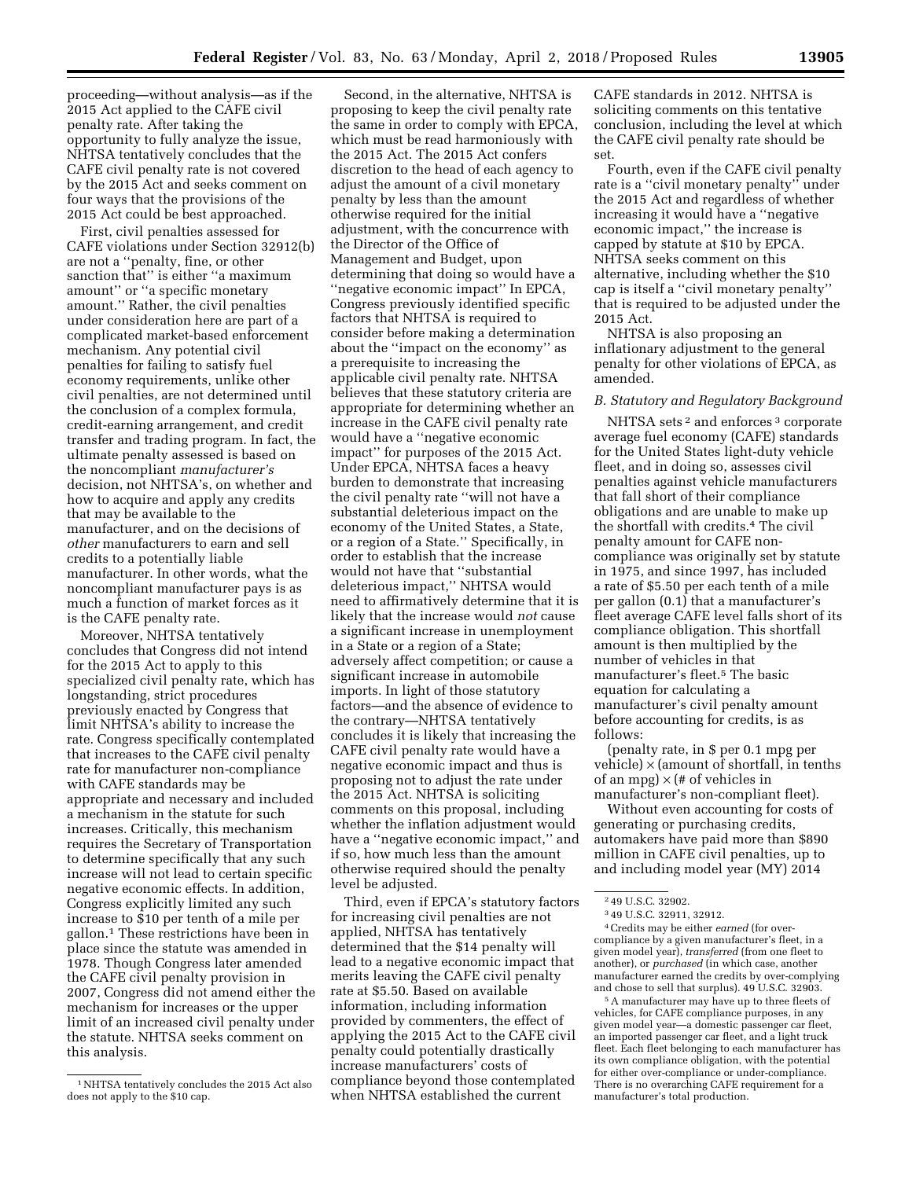proceeding—without analysis—as if the 2015 Act applied to the CAFE civil penalty rate. After taking the opportunity to fully analyze the issue, NHTSA tentatively concludes that the CAFE civil penalty rate is not covered by the 2015 Act and seeks comment on four ways that the provisions of the 2015 Act could be best approached.

First, civil penalties assessed for CAFE violations under Section 32912(b) are not a ''penalty, fine, or other sanction that'' is either ''a maximum amount'' or ''a specific monetary amount.'' Rather, the civil penalties under consideration here are part of a complicated market-based enforcement mechanism. Any potential civil penalties for failing to satisfy fuel economy requirements, unlike other civil penalties, are not determined until the conclusion of a complex formula, credit-earning arrangement, and credit transfer and trading program. In fact, the ultimate penalty assessed is based on the noncompliant *manufacturer's*  decision, not NHTSA's, on whether and how to acquire and apply any credits that may be available to the manufacturer, and on the decisions of *other* manufacturers to earn and sell credits to a potentially liable manufacturer. In other words, what the noncompliant manufacturer pays is as much a function of market forces as it is the CAFE penalty rate.

Moreover, NHTSA tentatively concludes that Congress did not intend for the 2015 Act to apply to this specialized civil penalty rate, which has longstanding, strict procedures previously enacted by Congress that limit NHTSA's ability to increase the rate. Congress specifically contemplated that increases to the CAFE civil penalty rate for manufacturer non-compliance with CAFE standards may be appropriate and necessary and included a mechanism in the statute for such increases. Critically, this mechanism requires the Secretary of Transportation to determine specifically that any such increase will not lead to certain specific negative economic effects. In addition, Congress explicitly limited any such increase to \$10 per tenth of a mile per gallon.1 These restrictions have been in place since the statute was amended in 1978. Though Congress later amended the CAFE civil penalty provision in 2007, Congress did not amend either the mechanism for increases or the upper limit of an increased civil penalty under the statute. NHTSA seeks comment on this analysis.

Second, in the alternative, NHTSA is proposing to keep the civil penalty rate the same in order to comply with EPCA, which must be read harmoniously with the 2015 Act. The 2015 Act confers discretion to the head of each agency to adjust the amount of a civil monetary penalty by less than the amount otherwise required for the initial adjustment, with the concurrence with the Director of the Office of Management and Budget, upon determining that doing so would have a ''negative economic impact'' In EPCA, Congress previously identified specific factors that NHTSA is required to consider before making a determination about the ''impact on the economy'' as a prerequisite to increasing the applicable civil penalty rate. NHTSA believes that these statutory criteria are appropriate for determining whether an increase in the CAFE civil penalty rate would have a ''negative economic impact'' for purposes of the 2015 Act. Under EPCA, NHTSA faces a heavy burden to demonstrate that increasing the civil penalty rate ''will not have a substantial deleterious impact on the economy of the United States, a State, or a region of a State.'' Specifically, in order to establish that the increase would not have that ''substantial deleterious impact,'' NHTSA would need to affirmatively determine that it is likely that the increase would *not* cause a significant increase in unemployment in a State or a region of a State; adversely affect competition; or cause a significant increase in automobile imports. In light of those statutory factors—and the absence of evidence to the contrary—NHTSA tentatively concludes it is likely that increasing the CAFE civil penalty rate would have a negative economic impact and thus is proposing not to adjust the rate under the 2015 Act. NHTSA is soliciting comments on this proposal, including whether the inflation adjustment would have a ''negative economic impact,'' and if so, how much less than the amount otherwise required should the penalty level be adjusted.

Third, even if EPCA's statutory factors for increasing civil penalties are not applied, NHTSA has tentatively determined that the \$14 penalty will lead to a negative economic impact that merits leaving the CAFE civil penalty rate at \$5.50. Based on available information, including information provided by commenters, the effect of applying the 2015 Act to the CAFE civil penalty could potentially drastically increase manufacturers' costs of compliance beyond those contemplated when NHTSA established the current

CAFE standards in 2012. NHTSA is soliciting comments on this tentative conclusion, including the level at which the CAFE civil penalty rate should be set.

Fourth, even if the CAFE civil penalty rate is a ''civil monetary penalty'' under the 2015 Act and regardless of whether increasing it would have a ''negative economic impact,'' the increase is capped by statute at \$10 by EPCA. NHTSA seeks comment on this alternative, including whether the \$10 cap is itself a ''civil monetary penalty'' that is required to be adjusted under the 2015 Act.

NHTSA is also proposing an inflationary adjustment to the general penalty for other violations of EPCA, as amended.

## *B. Statutory and Regulatory Background*

NHTSA sets 2 and enforces 3 corporate average fuel economy (CAFE) standards for the United States light-duty vehicle fleet, and in doing so, assesses civil penalties against vehicle manufacturers that fall short of their compliance obligations and are unable to make up the shortfall with credits.4 The civil penalty amount for CAFE noncompliance was originally set by statute in 1975, and since 1997, has included a rate of \$5.50 per each tenth of a mile per gallon (0.1) that a manufacturer's fleet average CAFE level falls short of its compliance obligation. This shortfall amount is then multiplied by the number of vehicles in that manufacturer's fleet.5 The basic equation for calculating a manufacturer's civil penalty amount before accounting for credits, is as follows:

(penalty rate, in \$ per 0.1 mpg per vehicle)  $\times$  (amount of shortfall, in tenths of an mpg)  $\times$  (# of vehicles in manufacturer's non-compliant fleet).

Without even accounting for costs of generating or purchasing credits, automakers have paid more than \$890 million in CAFE civil penalties, up to and including model year (MY) 2014

4Credits may be either *earned* (for overcompliance by a given manufacturer's fleet, in a given model year), *transferred* (from one fleet to another), or *purchased* (in which case, another manufacturer earned the credits by over-complying and chose to sell that surplus). 49 U.S.C. 32903.

5A manufacturer may have up to three fleets of vehicles, for CAFE compliance purposes, in any given model year—a domestic passenger car fleet, an imported passenger car fleet, and a light truck fleet. Each fleet belonging to each manufacturer has its own compliance obligation, with the potential for either over-compliance or under-compliance. There is no overarching CAFE requirement for a manufacturer's total production.

<sup>1</sup>NHTSA tentatively concludes the 2015 Act also does not apply to the \$10 cap.

<sup>2</sup> 49 U.S.C. 32902.

<sup>3</sup> 49 U.S.C. 32911, 32912.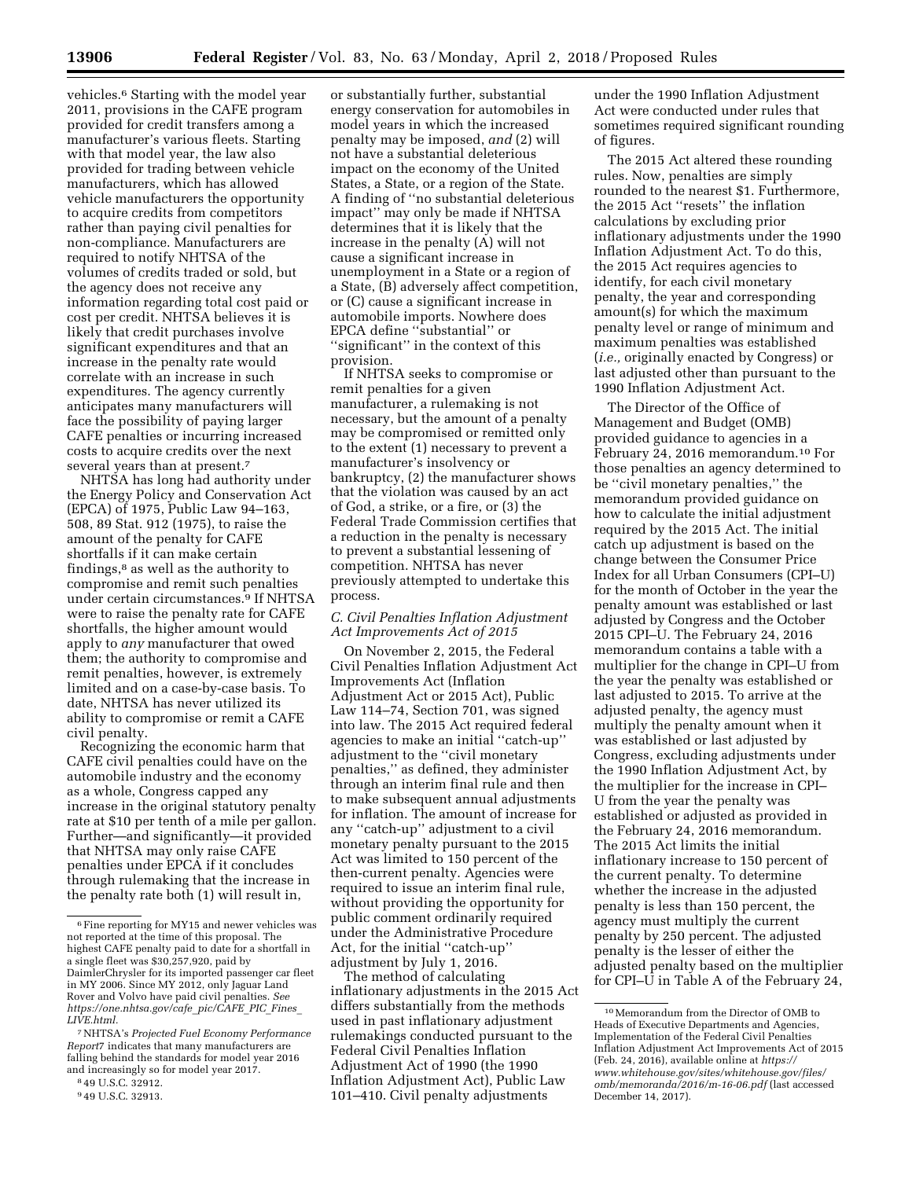vehicles.6 Starting with the model year 2011, provisions in the CAFE program provided for credit transfers among a manufacturer's various fleets. Starting with that model year, the law also provided for trading between vehicle manufacturers, which has allowed vehicle manufacturers the opportunity to acquire credits from competitors rather than paying civil penalties for non-compliance. Manufacturers are required to notify NHTSA of the volumes of credits traded or sold, but the agency does not receive any information regarding total cost paid or cost per credit. NHTSA believes it is likely that credit purchases involve significant expenditures and that an increase in the penalty rate would correlate with an increase in such expenditures. The agency currently anticipates many manufacturers will face the possibility of paying larger CAFE penalties or incurring increased costs to acquire credits over the next several years than at present.<sup>7</sup>

NHTSA has long had authority under the Energy Policy and Conservation Act (EPCA) of 1975, Public Law 94–163, 508, 89 Stat. 912 (1975), to raise the amount of the penalty for CAFE shortfalls if it can make certain findings,8 as well as the authority to compromise and remit such penalties under certain circumstances.9 If NHTSA were to raise the penalty rate for CAFE shortfalls, the higher amount would apply to *any* manufacturer that owed them; the authority to compromise and remit penalties, however, is extremely limited and on a case-by-case basis. To date, NHTSA has never utilized its ability to compromise or remit a CAFE civil penalty.

Recognizing the economic harm that CAFE civil penalties could have on the automobile industry and the economy as a whole, Congress capped any increase in the original statutory penalty rate at \$10 per tenth of a mile per gallon. Further—and significantly—it provided that NHTSA may only raise CAFE penalties under EPCA if it concludes through rulemaking that the increase in the penalty rate both (1) will result in,

or substantially further, substantial energy conservation for automobiles in model years in which the increased penalty may be imposed, *and* (2) will not have a substantial deleterious impact on the economy of the United States, a State, or a region of the State. A finding of ''no substantial deleterious impact'' may only be made if NHTSA determines that it is likely that the increase in the penalty (A) will not cause a significant increase in unemployment in a State or a region of a State, (B) adversely affect competition, or (C) cause a significant increase in automobile imports. Nowhere does EPCA define ''substantial'' or ''significant'' in the context of this provision.

If NHTSA seeks to compromise or remit penalties for a given manufacturer, a rulemaking is not necessary, but the amount of a penalty may be compromised or remitted only to the extent (1) necessary to prevent a manufacturer's insolvency or bankruptcy, (2) the manufacturer shows that the violation was caused by an act of God, a strike, or a fire, or (3) the Federal Trade Commission certifies that a reduction in the penalty is necessary to prevent a substantial lessening of competition. NHTSA has never previously attempted to undertake this process.

### *C. Civil Penalties Inflation Adjustment Act Improvements Act of 2015*

On November 2, 2015, the Federal Civil Penalties Inflation Adjustment Act Improvements Act (Inflation Adjustment Act or 2015 Act), Public Law 114–74, Section 701, was signed into law. The 2015 Act required federal agencies to make an initial ''catch-up'' adjustment to the ''civil monetary penalties,'' as defined, they administer through an interim final rule and then to make subsequent annual adjustments for inflation. The amount of increase for any ''catch-up'' adjustment to a civil monetary penalty pursuant to the 2015 Act was limited to 150 percent of the then-current penalty. Agencies were required to issue an interim final rule, without providing the opportunity for public comment ordinarily required under the Administrative Procedure Act, for the initial ''catch-up'' adjustment by July 1, 2016.

The method of calculating inflationary adjustments in the 2015 Act differs substantially from the methods used in past inflationary adjustment rulemakings conducted pursuant to the Federal Civil Penalties Inflation Adjustment Act of 1990 (the 1990 Inflation Adjustment Act), Public Law 101–410. Civil penalty adjustments

under the 1990 Inflation Adjustment Act were conducted under rules that sometimes required significant rounding of figures.

The 2015 Act altered these rounding rules. Now, penalties are simply rounded to the nearest \$1. Furthermore, the 2015 Act ''resets'' the inflation calculations by excluding prior inflationary adjustments under the 1990 Inflation Adjustment Act. To do this, the 2015 Act requires agencies to identify, for each civil monetary penalty, the year and corresponding amount(s) for which the maximum penalty level or range of minimum and maximum penalties was established (*i.e.,* originally enacted by Congress) or last adjusted other than pursuant to the 1990 Inflation Adjustment Act.

The Director of the Office of Management and Budget (OMB) provided guidance to agencies in a February 24, 2016 memorandum.10 For those penalties an agency determined to be ''civil monetary penalties,'' the memorandum provided guidance on how to calculate the initial adjustment required by the 2015 Act. The initial catch up adjustment is based on the change between the Consumer Price Index for all Urban Consumers (CPI–U) for the month of October in the year the penalty amount was established or last adjusted by Congress and the October 2015 CPI–U. The February 24, 2016 memorandum contains a table with a multiplier for the change in CPI–U from the year the penalty was established or last adjusted to 2015. To arrive at the adjusted penalty, the agency must multiply the penalty amount when it was established or last adjusted by Congress, excluding adjustments under the 1990 Inflation Adjustment Act, by the multiplier for the increase in CPI– U from the year the penalty was established or adjusted as provided in the February 24, 2016 memorandum. The 2015 Act limits the initial inflationary increase to 150 percent of the current penalty. To determine whether the increase in the adjusted penalty is less than 150 percent, the agency must multiply the current penalty by 250 percent. The adjusted penalty is the lesser of either the adjusted penalty based on the multiplier for CPI–U in Table A of the February 24,

<sup>6</sup>Fine reporting for MY15 and newer vehicles was not reported at the time of this proposal. The highest CAFE penalty paid to date for a shortfall in a single fleet was \$30,257,920, paid by DaimlerChrysler for its imported passenger car fleet in MY 2006. Since MY 2012, only Jaguar Land Rover and Volvo have paid civil penalties. *See [https://one.nhtsa.gov/cafe](https://one.nhtsa.gov/cafe_pic/CAFE_PIC_Fines_LIVE.html)*\_*pic/CAFE*\_*PIC*\_*Fines*\_ *[LIVE.html.](https://one.nhtsa.gov/cafe_pic/CAFE_PIC_Fines_LIVE.html)* 

<sup>7</sup>NHTSA's *Projected Fuel Economy Performance Report*7 indicates that many manufacturers are falling behind the standards for model year 2016 and increasingly so for model year 2017.

<sup>8</sup> 49 U.S.C. 32912.

<sup>9</sup> 49 U.S.C. 32913.

<sup>10</sup>Memorandum from the Director of OMB to Heads of Executive Departments and Agencies, Implementation of the Federal Civil Penalties Inflation Adjustment Act Improvements Act of 2015 (Feb. 24, 2016), available online at *[https://](https://www.whitehouse.gov/sites/whitehouse.gov/files/omb/memoranda/2016/m-16-06.pdf) [www.whitehouse.gov/sites/whitehouse.gov/files/](https://www.whitehouse.gov/sites/whitehouse.gov/files/omb/memoranda/2016/m-16-06.pdf)  [omb/memoranda/2016/m-16-06.pdf](https://www.whitehouse.gov/sites/whitehouse.gov/files/omb/memoranda/2016/m-16-06.pdf)* (last accessed December 14, 2017).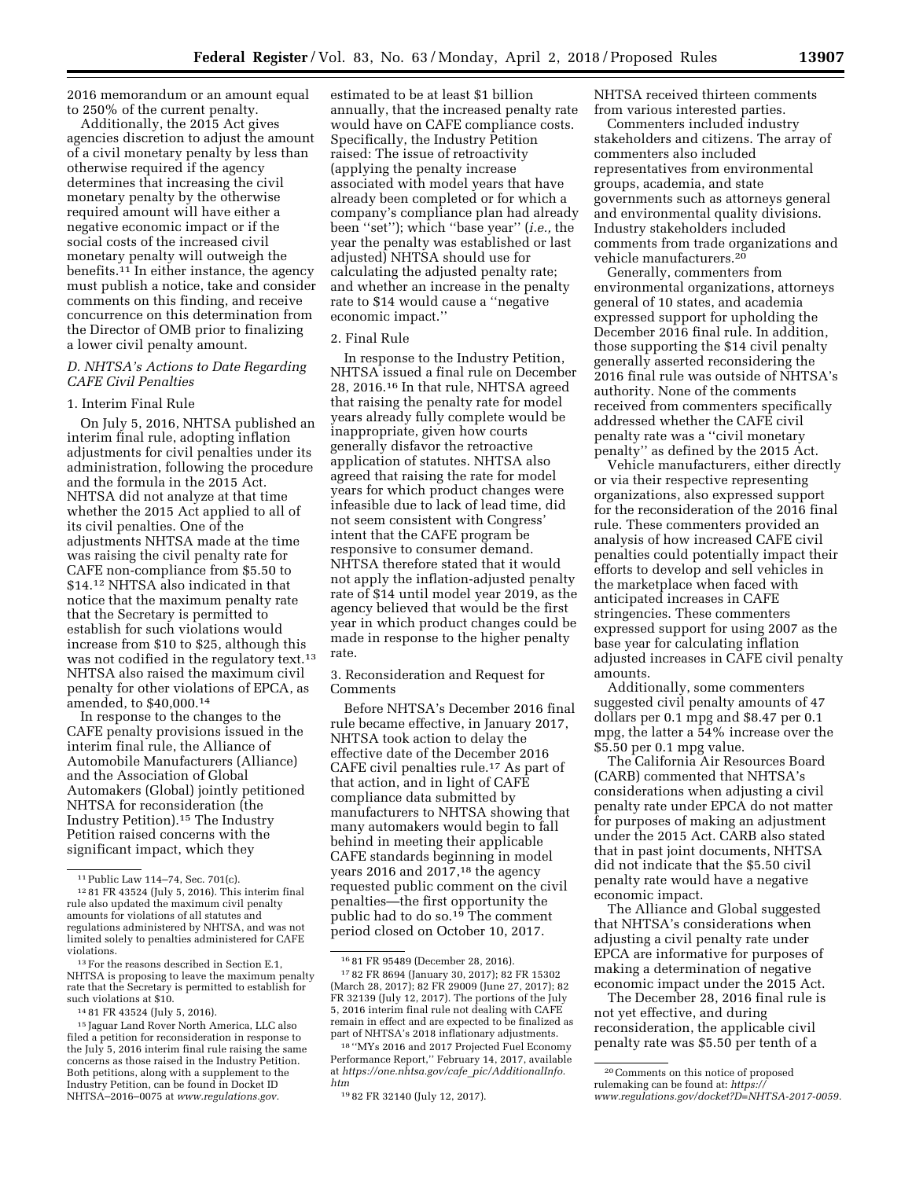2016 memorandum or an amount equal to 250% of the current penalty.

Additionally, the 2015 Act gives agencies discretion to adjust the amount of a civil monetary penalty by less than otherwise required if the agency determines that increasing the civil monetary penalty by the otherwise required amount will have either a negative economic impact or if the social costs of the increased civil monetary penalty will outweigh the benefits. $11$  In either instance, the agency must publish a notice, take and consider comments on this finding, and receive concurrence on this determination from the Director of OMB prior to finalizing a lower civil penalty amount.

## *D. NHTSA's Actions to Date Regarding CAFE Civil Penalties*

### 1. Interim Final Rule

On July 5, 2016, NHTSA published an interim final rule, adopting inflation adjustments for civil penalties under its administration, following the procedure and the formula in the 2015 Act. NHTSA did not analyze at that time whether the 2015 Act applied to all of its civil penalties. One of the adjustments NHTSA made at the time was raising the civil penalty rate for CAFE non-compliance from \$5.50 to \$14.12 NHTSA also indicated in that notice that the maximum penalty rate that the Secretary is permitted to establish for such violations would increase from \$10 to \$25, although this was not codified in the regulatory text.13 NHTSA also raised the maximum civil penalty for other violations of EPCA, as amended, to \$40,000.14

In response to the changes to the CAFE penalty provisions issued in the interim final rule, the Alliance of Automobile Manufacturers (Alliance) and the Association of Global Automakers (Global) jointly petitioned NHTSA for reconsideration (the Industry Petition).15 The Industry Petition raised concerns with the significant impact, which they

estimated to be at least \$1 billion annually, that the increased penalty rate would have on CAFE compliance costs. Specifically, the Industry Petition raised: The issue of retroactivity (applying the penalty increase associated with model years that have already been completed or for which a company's compliance plan had already been ''set''); which ''base year'' (*i.e.,* the year the penalty was established or last adjusted) NHTSA should use for calculating the adjusted penalty rate; and whether an increase in the penalty rate to \$14 would cause a ''negative economic impact.''

#### 2. Final Rule

In response to the Industry Petition, NHTSA issued a final rule on December 28, 2016.16 In that rule, NHTSA agreed that raising the penalty rate for model years already fully complete would be inappropriate, given how courts generally disfavor the retroactive application of statutes. NHTSA also agreed that raising the rate for model years for which product changes were infeasible due to lack of lead time, did not seem consistent with Congress' intent that the CAFE program be responsive to consumer demand. NHTSA therefore stated that it would not apply the inflation-adjusted penalty rate of \$14 until model year 2019, as the agency believed that would be the first year in which product changes could be made in response to the higher penalty rate.

3. Reconsideration and Request for Comments

Before NHTSA's December 2016 final rule became effective, in January 2017, NHTSA took action to delay the effective date of the December 2016 CAFE civil penalties rule.17 As part of that action, and in light of CAFE compliance data submitted by manufacturers to NHTSA showing that many automakers would begin to fall behind in meeting their applicable CAFE standards beginning in model years 2016 and 2017,<sup>18</sup> the agency requested public comment on the civil penalties—the first opportunity the public had to do so.<sup>19</sup> The comment period closed on October 10, 2017.

NHTSA received thirteen comments from various interested parties.

Commenters included industry stakeholders and citizens. The array of commenters also included representatives from environmental groups, academia, and state governments such as attorneys general and environmental quality divisions. Industry stakeholders included comments from trade organizations and vehicle manufacturers.20

Generally, commenters from environmental organizations, attorneys general of 10 states, and academia expressed support for upholding the December 2016 final rule. In addition, those supporting the \$14 civil penalty generally asserted reconsidering the 2016 final rule was outside of NHTSA's authority. None of the comments received from commenters specifically addressed whether the CAFE civil penalty rate was a ''civil monetary penalty'' as defined by the 2015 Act.

Vehicle manufacturers, either directly or via their respective representing organizations, also expressed support for the reconsideration of the 2016 final rule. These commenters provided an analysis of how increased CAFE civil penalties could potentially impact their efforts to develop and sell vehicles in the marketplace when faced with anticipated increases in CAFE stringencies. These commenters expressed support for using 2007 as the base year for calculating inflation adjusted increases in CAFE civil penalty amounts.

Additionally, some commenters suggested civil penalty amounts of 47 dollars per 0.1 mpg and \$8.47 per 0.1 mpg, the latter a 54% increase over the \$5.50 per 0.1 mpg value.

The California Air Resources Board (CARB) commented that NHTSA's considerations when adjusting a civil penalty rate under EPCA do not matter for purposes of making an adjustment under the 2015 Act. CARB also stated that in past joint documents, NHTSA did not indicate that the \$5.50 civil penalty rate would have a negative economic impact.

The Alliance and Global suggested that NHTSA's considerations when adjusting a civil penalty rate under EPCA are informative for purposes of making a determination of negative economic impact under the 2015 Act.

The December 28, 2016 final rule is not yet effective, and during reconsideration, the applicable civil penalty rate was \$5.50 per tenth of a

<sup>&</sup>lt;sup>11</sup> Public Law 114–74, Sec. 701(c).<br><sup>12</sup> 81 FR 43524 (July 5, 2016). This interim final rule also updated the maximum civil penalty amounts for violations of all statutes and regulations administered by NHTSA, and was not limited solely to penalties administered for CAFE violations.

<sup>&</sup>lt;sup>13</sup> For the reasons described in Section E.1, NHTSA is proposing to leave the maximum penalty rate that the Secretary is permitted to establish for such violations at \$10.

<sup>14</sup> 81 FR 43524 (July 5, 2016).

<sup>15</sup> Jaguar Land Rover North America, LLC also filed a petition for reconsideration in response to the July 5, 2016 interim final rule raising the same concerns as those raised in the Industry Petition. Both petitions, along with a supplement to the Industry Petition, can be found in Docket ID NHTSA–2016–0075 at *[www.regulations.gov.](http://www.regulations.gov)* 

<sup>16</sup> 81 FR 95489 (December 28, 2016). 17 82 FR 8694 (January 30, 2017); 82 FR 15302 (March 28, 2017); 82 FR 29009 (June 27, 2017); 82 FR 32139 (July 12, 2017). The portions of the July 5, 2016 interim final rule not dealing with CAFE remain in effect and are expected to be finalized as part of NHTSA's 2018 inflationary adjustments.

<sup>18</sup> ''MYs 2016 and 2017 Projected Fuel Economy Performance Report,'' February 14, 2017, available at *[https://one.nhtsa.gov/cafe](https://one.nhtsa.gov/cafe_pic/AdditionalInfo.htm)*\_*pic/AdditionalInfo. [htm](https://one.nhtsa.gov/cafe_pic/AdditionalInfo.htm)* 

<sup>19</sup> 82 FR 32140 (July 12, 2017).

<sup>20</sup>Comments on this notice of proposed rulemaking can be found at: *[https://](https://www.regulations.gov/docket?D=NHTSA-2017-0059) [www.regulations.gov/docket?D=NHTSA-2017-0059.](https://www.regulations.gov/docket?D=NHTSA-2017-0059)*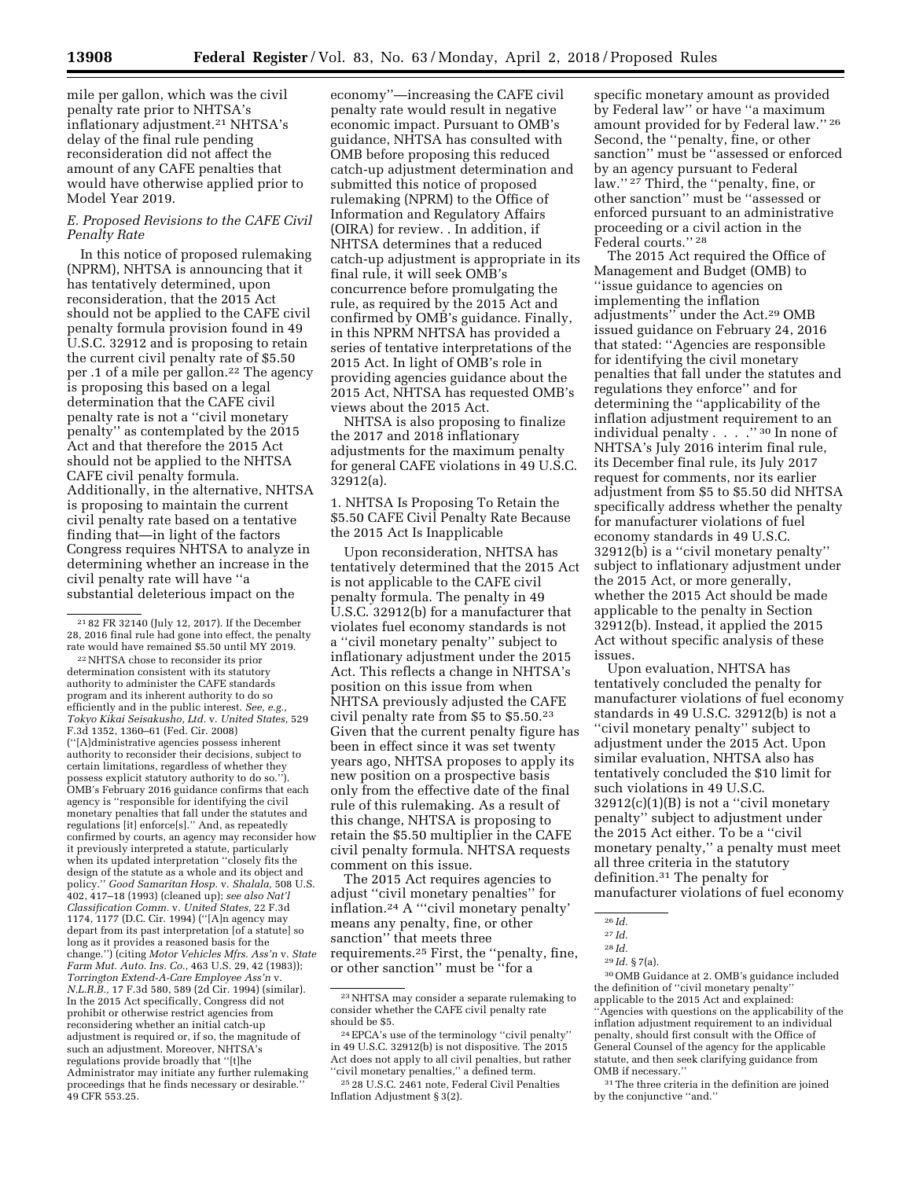mile per gallon, which was the civil penalty rate prior to NHTSA's inflationary adjustment.21 NHTSA's delay of the final rule pending reconsideration did not affect the amount of any CAFE penalties that would have otherwise applied prior to Model Year 2019.

## *E. Proposed Revisions to the CAFE Civil Penalty Rate*

In this notice of proposed rulemaking (NPRM), NHTSA is announcing that it has tentatively determined, upon reconsideration, that the 2015 Act should not be applied to the CAFE civil penalty formula provision found in 49 U.S.C. 32912 and is proposing to retain the current civil penalty rate of \$5.50 per .1 of a mile per gallon.22 The agency is proposing this based on a legal determination that the CAFE civil penalty rate is not a ''civil monetary penalty'' as contemplated by the 2015 Act and that therefore the 2015 Act should not be applied to the NHTSA CAFE civil penalty formula. Additionally, in the alternative, NHTSA is proposing to maintain the current civil penalty rate based on a tentative finding that—in light of the factors Congress requires NHTSA to analyze in determining whether an increase in the civil penalty rate will have ''a substantial deleterious impact on the

21 82 FR 32140 (July 12, 2017). If the December 28, 2016 final rule had gone into effect, the penalty rate would have remained \$5.50 until MY 2019.

economy''—increasing the CAFE civil penalty rate would result in negative economic impact. Pursuant to OMB's guidance, NHTSA has consulted with OMB before proposing this reduced catch-up adjustment determination and submitted this notice of proposed rulemaking (NPRM) to the Office of Information and Regulatory Affairs (OIRA) for review. . In addition, if NHTSA determines that a reduced catch-up adjustment is appropriate in its final rule, it will seek OMB's concurrence before promulgating the rule, as required by the 2015 Act and confirmed by OMB's guidance. Finally, in this NPRM NHTSA has provided a series of tentative interpretations of the 2015 Act. In light of OMB's role in providing agencies guidance about the 2015 Act, NHTSA has requested OMB's views about the 2015 Act.

NHTSA is also proposing to finalize the 2017 and 2018 inflationary adjustments for the maximum penalty for general CAFE violations in 49 U.S.C. 32912(a).

1. NHTSA Is Proposing To Retain the \$5.50 CAFE Civil Penalty Rate Because the 2015 Act Is Inapplicable

Upon reconsideration, NHTSA has tentatively determined that the 2015 Act is not applicable to the CAFE civil penalty formula. The penalty in 49 U.S.C. 32912(b) for a manufacturer that violates fuel economy standards is not a ''civil monetary penalty'' subject to inflationary adjustment under the 2015 Act. This reflects a change in NHTSA's position on this issue from when NHTSA previously adjusted the CAFE civil penalty rate from \$5 to \$5.50.23 Given that the current penalty figure has been in effect since it was set twenty years ago, NHTSA proposes to apply its new position on a prospective basis only from the effective date of the final rule of this rulemaking. As a result of this change, NHTSA is proposing to retain the \$5.50 multiplier in the CAFE civil penalty formula. NHTSA requests comment on this issue.

The 2015 Act requires agencies to adjust ''civil monetary penalties'' for inflation.<sup>24</sup> A "'civil monetary penalty' means any penalty, fine, or other sanction'' that meets three requirements.25 First, the ''penalty, fine, or other sanction'' must be ''for a

specific monetary amount as provided by Federal law'' or have ''a maximum amount provided for by Federal law.'' 26 Second, the ''penalty, fine, or other sanction'' must be ''assessed or enforced by an agency pursuant to Federal law."<sup>27</sup> Third, the "penalty, fine, or other sanction'' must be ''assessed or enforced pursuant to an administrative proceeding or a civil action in the Federal courts."<sup>28</sup>

The 2015 Act required the Office of Management and Budget (OMB) to ''issue guidance to agencies on implementing the inflation adjustments'' under the Act.29 OMB issued guidance on February 24, 2016 that stated: ''Agencies are responsible for identifying the civil monetary penalties that fall under the statutes and regulations they enforce'' and for determining the ''applicability of the inflation adjustment requirement to an individual penalty . . .<sup>7</sup> ." <sup>30</sup> In none of NHTSA's July 2016 interim final rule, its December final rule, its July 2017 request for comments, nor its earlier adjustment from \$5 to \$5.50 did NHTSA specifically address whether the penalty for manufacturer violations of fuel economy standards in 49 U.S.C. 32912(b) is a ''civil monetary penalty'' subject to inflationary adjustment under the 2015 Act, or more generally, whether the 2015 Act should be made applicable to the penalty in Section 32912(b). Instead, it applied the 2015 Act without specific analysis of these issues.

Upon evaluation, NHTSA has tentatively concluded the penalty for manufacturer violations of fuel economy standards in 49 U.S.C. 32912(b) is not a ''civil monetary penalty'' subject to adjustment under the 2015 Act. Upon similar evaluation, NHTSA also has tentatively concluded the \$10 limit for such violations in 49 U.S.C.  $32912(c)(1)(B)$  is not a "civil monetary" penalty'' subject to adjustment under the 2015 Act either. To be a ''civil monetary penalty,'' a penalty must meet all three criteria in the statutory definition.31 The penalty for manufacturer violations of fuel economy

30OMB Guidance at 2. OMB's guidance included the definition of ''civil monetary penalty'' applicable to the 2015 Act and explained: ''Agencies with questions on the applicability of the inflation adjustment requirement to an individual penalty, should first consult with the Office of General Counsel of the agency for the applicable statute, and then seek clarifying guidance from OMB if necessary.''

31The three criteria in the definition are joined by the conjunctive ''and.''

<sup>22</sup>NHTSA chose to reconsider its prior determination consistent with its statutory authority to administer the CAFE standards program and its inherent authority to do so efficiently and in the public interest. *See, e.g., Tokyo Kikai Seisakusho, Ltd.* v. *United States,* 529 F.3d 1352, 1360–61 (Fed. Cir. 2008) (''[A]dministrative agencies possess inherent authority to reconsider their decisions, subject to certain limitations, regardless of whether they possess explicit statutory authority to do so.") OMB's February 2016 guidance confirms that each agency is ''responsible for identifying the civil monetary penalties that fall under the statutes and regulations [it] enforce[s].'' And, as repeatedly confirmed by courts, an agency may reconsider how it previously interpreted a statute, particularly when its updated interpretation ''closely fits the design of the statute as a whole and its object and policy.'' *Good Samaritan Hosp.* v. *Shalala,* 508 U.S. 402, 417–18 (1993) (cleaned up); *see also Nat'l Classification Comm.* v. *United States,* 22 F.3d 1174, 1177 (D.C. Cir. 1994) (''[A]n agency may depart from its past interpretation [of a statute] so long as it provides a reasoned basis for the change.'') (citing *Motor Vehicles Mfrs. Ass'n* v. *State Farm Mut. Auto. Ins. Co.,* 463 U.S. 29, 42 (1983)); *Torrington Extend-A-Care Employee Ass'n* v. *N.L.R.B.,* 17 F.3d 580, 589 (2d Cir. 1994) (similar). In the 2015 Act specifically, Congress did not prohibit or otherwise restrict agencies from reconsidering whether an initial catch-up adjustment is required or, if so, the magnitude of such an adjustment. Moreover, NHTSA's regulations provide broadly that ''[t]he Administrator may initiate any further rulemaking proceedings that he finds necessary or desirable.'' 49 CFR 553.25.

<sup>23</sup>NHTSA may consider a separate rulemaking to consider whether the CAFE civil penalty rate should be \$5.

<sup>24</sup>EPCA's use of the terminology ''civil penalty'' in 49 U.S.C. 32912(b) is not dispositive. The 2015 Act does not apply to all civil penalties, but rather ''civil monetary penalties,'' a defined term.

<sup>25</sup> 28 U.S.C. 2461 note, Federal Civil Penalties Inflation Adjustment § 3(2).

<sup>26</sup> *Id.* 

<sup>27</sup> *Id.*  28 *Id.* 

<sup>29</sup> *Id.* § 7(a).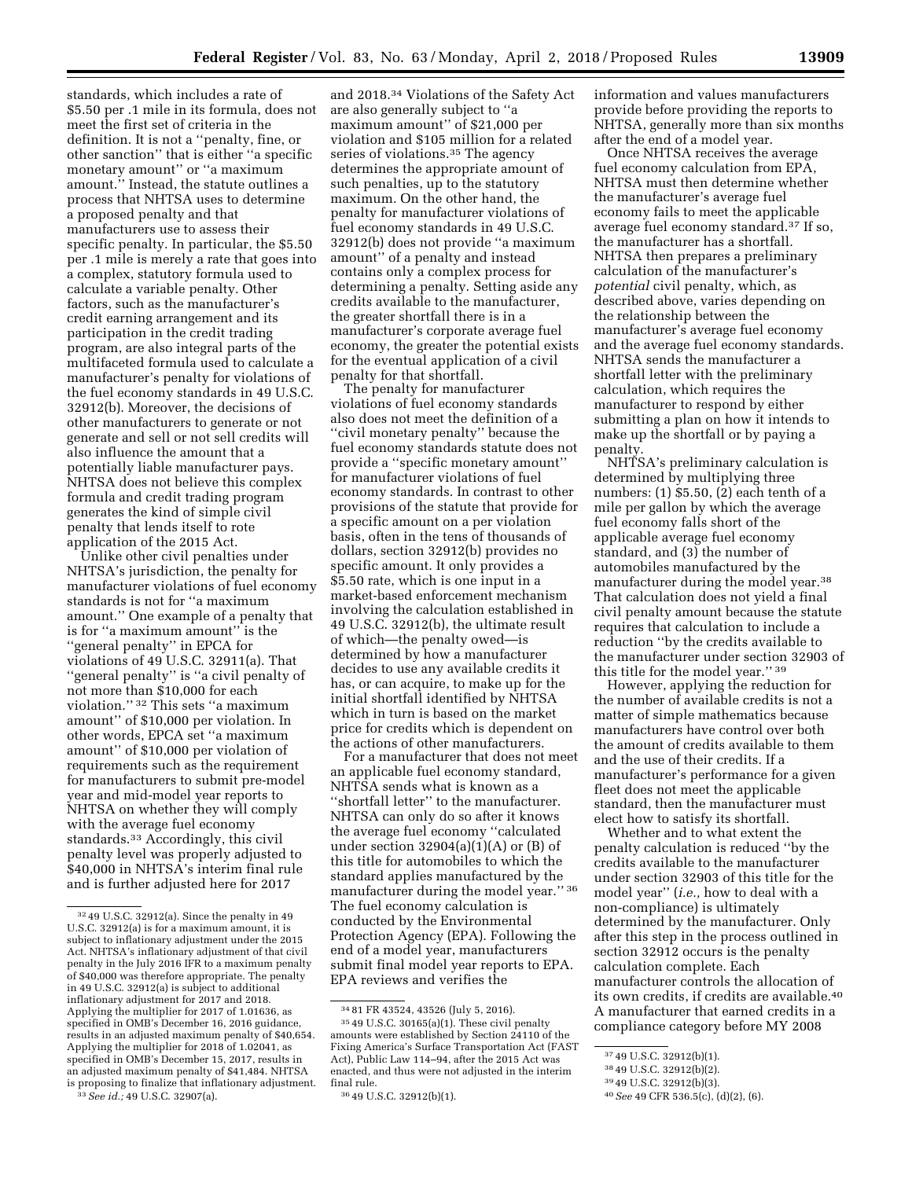standards, which includes a rate of \$5.50 per .1 mile in its formula, does not meet the first set of criteria in the definition. It is not a ''penalty, fine, or other sanction'' that is either ''a specific monetary amount'' or ''a maximum amount.'' Instead, the statute outlines a process that NHTSA uses to determine a proposed penalty and that manufacturers use to assess their specific penalty. In particular, the \$5.50 per .1 mile is merely a rate that goes into a complex, statutory formula used to calculate a variable penalty. Other factors, such as the manufacturer's credit earning arrangement and its participation in the credit trading program, are also integral parts of the multifaceted formula used to calculate a manufacturer's penalty for violations of the fuel economy standards in 49 U.S.C. 32912(b). Moreover, the decisions of other manufacturers to generate or not generate and sell or not sell credits will also influence the amount that a potentially liable manufacturer pays. NHTSA does not believe this complex formula and credit trading program generates the kind of simple civil penalty that lends itself to rote application of the 2015 Act.

Unlike other civil penalties under NHTSA's jurisdiction, the penalty for manufacturer violations of fuel economy standards is not for ''a maximum amount.'' One example of a penalty that is for ''a maximum amount'' is the ''general penalty'' in EPCA for violations of 49 U.S.C. 32911(a). That "general penalty" is "a civil penalty of not more than \$10,000 for each violation.'' 32 This sets ''a maximum amount'' of \$10,000 per violation. In other words, EPCA set ''a maximum amount'' of \$10,000 per violation of requirements such as the requirement for manufacturers to submit pre-model year and mid-model year reports to NHTSA on whether they will comply with the average fuel economy standards.33 Accordingly, this civil penalty level was properly adjusted to \$40,000 in NHTSA's interim final rule and is further adjusted here for 2017

and 2018.34 Violations of the Safety Act are also generally subject to ''a maximum amount'' of \$21,000 per violation and \$105 million for a related series of violations.35 The agency determines the appropriate amount of such penalties, up to the statutory maximum. On the other hand, the penalty for manufacturer violations of fuel economy standards in 49 U.S.C. 32912(b) does not provide ''a maximum amount'' of a penalty and instead contains only a complex process for determining a penalty. Setting aside any credits available to the manufacturer, the greater shortfall there is in a manufacturer's corporate average fuel economy, the greater the potential exists for the eventual application of a civil penalty for that shortfall.

The penalty for manufacturer violations of fuel economy standards also does not meet the definition of a "civil monetary penalty" because the fuel economy standards statute does not provide a ''specific monetary amount'' for manufacturer violations of fuel economy standards. In contrast to other provisions of the statute that provide for a specific amount on a per violation basis, often in the tens of thousands of dollars, section 32912(b) provides no specific amount. It only provides a \$5.50 rate, which is one input in a market-based enforcement mechanism involving the calculation established in 49 U.S.C. 32912(b), the ultimate result of which—the penalty owed—is determined by how a manufacturer decides to use any available credits it has, or can acquire, to make up for the initial shortfall identified by NHTSA which in turn is based on the market price for credits which is dependent on the actions of other manufacturers.

For a manufacturer that does not meet an applicable fuel economy standard, NHTSA sends what is known as a ''shortfall letter'' to the manufacturer. NHTSA can only do so after it knows the average fuel economy ''calculated under section  $32904(a)(1)(A)$  or  $(B)$  of this title for automobiles to which the standard applies manufactured by the manufacturer during the model year.'' 36 The fuel economy calculation is conducted by the Environmental Protection Agency (EPA). Following the end of a model year, manufacturers submit final model year reports to EPA. EPA reviews and verifies the

information and values manufacturers provide before providing the reports to NHTSA, generally more than six months after the end of a model year.

Once NHTSA receives the average fuel economy calculation from EPA, NHTSA must then determine whether the manufacturer's average fuel economy fails to meet the applicable average fuel economy standard.37 If so, the manufacturer has a shortfall. NHTSA then prepares a preliminary calculation of the manufacturer's *potential* civil penalty, which, as described above, varies depending on the relationship between the manufacturer's average fuel economy and the average fuel economy standards. NHTSA sends the manufacturer a shortfall letter with the preliminary calculation, which requires the manufacturer to respond by either submitting a plan on how it intends to make up the shortfall or by paying a penalty.

NHTSA's preliminary calculation is determined by multiplying three numbers: (1) \$5.50, (2) each tenth of a mile per gallon by which the average fuel economy falls short of the applicable average fuel economy standard, and (3) the number of automobiles manufactured by the manufacturer during the model year.38 That calculation does not yield a final civil penalty amount because the statute requires that calculation to include a reduction ''by the credits available to the manufacturer under section 32903 of this title for the model year.'' 39

However, applying the reduction for the number of available credits is not a matter of simple mathematics because manufacturers have control over both the amount of credits available to them and the use of their credits. If a manufacturer's performance for a given fleet does not meet the applicable standard, then the manufacturer must elect how to satisfy its shortfall.

Whether and to what extent the penalty calculation is reduced ''by the credits available to the manufacturer under section 32903 of this title for the model year'' (*i.e.,* how to deal with a non-compliance) is ultimately determined by the manufacturer. Only after this step in the process outlined in section 32912 occurs is the penalty calculation complete. Each manufacturer controls the allocation of its own credits, if credits are available.40 A manufacturer that earned credits in a compliance category before MY 2008

<sup>32</sup> 49 U.S.C. 32912(a). Since the penalty in 49 U.S.C. 32912(a) is for a maximum amount, it is subject to inflationary adjustment under the 2015 Act. NHTSA's inflationary adjustment of that civil penalty in the July 2016 IFR to a maximum penalty of \$40,000 was therefore appropriate. The penalty in 49 U.S.C. 32912(a) is subject to additional inflationary adjustment for 2017 and 2018. Applying the multiplier for 2017 of 1.01636, as specified in OMB's December 16, 2016 guidance, results in an adjusted maximum penalty of \$40,654. Applying the multiplier for 2018 of 1.02041, as specified in OMB's December 15, 2017, results in an adjusted maximum penalty of \$41,484. NHTSA is proposing to finalize that inflationary adjustment.

<sup>33</sup>*See id.;* 49 U.S.C. 32907(a).

<sup>34</sup> 81 FR 43524, 43526 (July 5, 2016). 35 49 U.S.C. 30165(a)(1). These civil penalty amounts were established by Section 24110 of the Fixing America's Surface Transportation Act (FAST Act), Public Law 114–94, after the 2015 Act was enacted, and thus were not adjusted in the interim final rule.

<sup>36</sup> 49 U.S.C. 32912(b)(1).

<sup>37</sup> 49 U.S.C. 32912(b)(1).

<sup>38</sup> 49 U.S.C. 32912(b)(2).

<sup>39</sup> 49 U.S.C. 32912(b)(3).

<sup>40</sup>*See* 49 CFR 536.5(c), (d)(2), (6).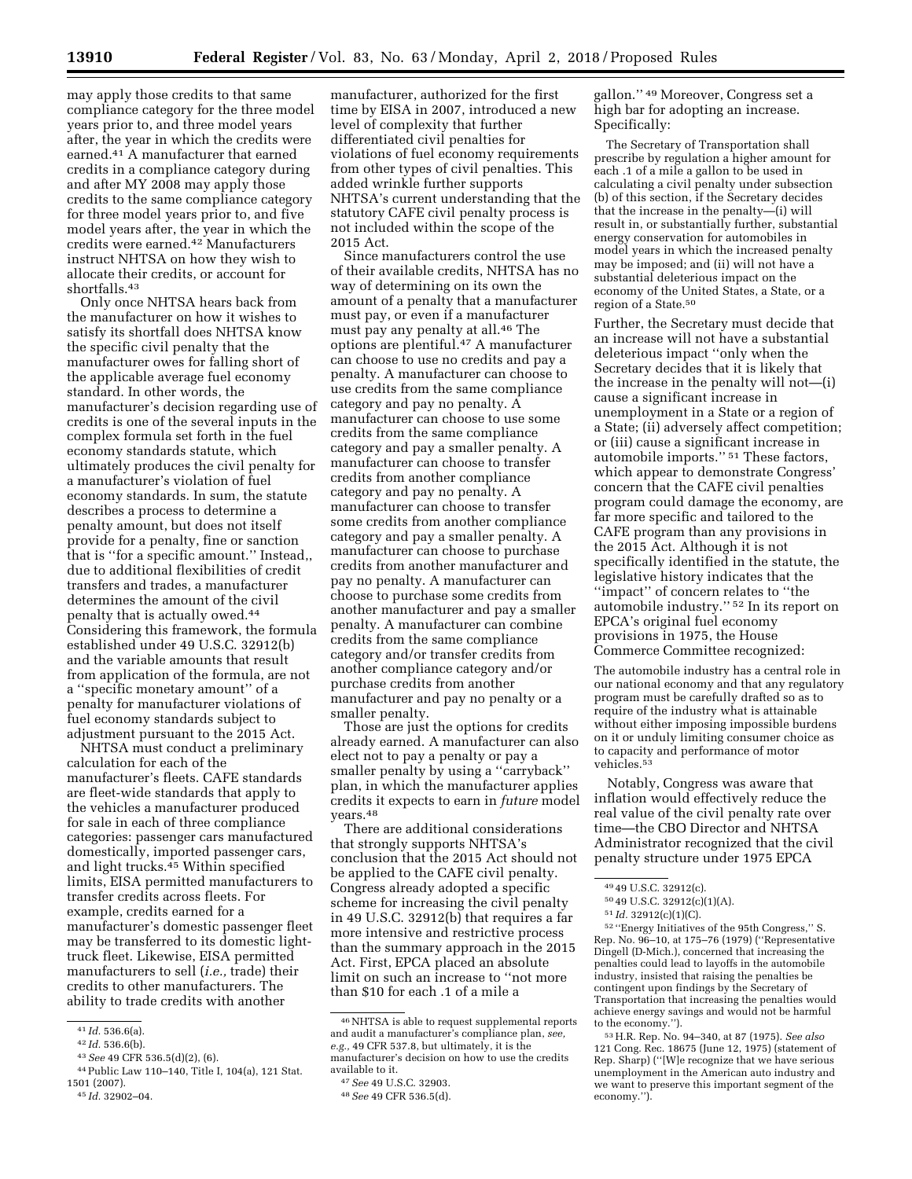may apply those credits to that same compliance category for the three model years prior to, and three model years after, the year in which the credits were earned.41 A manufacturer that earned credits in a compliance category during and after MY 2008 may apply those credits to the same compliance category for three model years prior to, and five model years after, the year in which the credits were earned.42 Manufacturers instruct NHTSA on how they wish to allocate their credits, or account for shortfalls.43

Only once NHTSA hears back from the manufacturer on how it wishes to satisfy its shortfall does NHTSA know the specific civil penalty that the manufacturer owes for falling short of the applicable average fuel economy standard. In other words, the manufacturer's decision regarding use of credits is one of the several inputs in the complex formula set forth in the fuel economy standards statute, which ultimately produces the civil penalty for a manufacturer's violation of fuel economy standards. In sum, the statute describes a process to determine a penalty amount, but does not itself provide for a penalty, fine or sanction that is ''for a specific amount.'' Instead,, due to additional flexibilities of credit transfers and trades, a manufacturer determines the amount of the civil penalty that is actually owed.44 Considering this framework, the formula established under 49 U.S.C. 32912(b) and the variable amounts that result from application of the formula, are not a ''specific monetary amount'' of a penalty for manufacturer violations of fuel economy standards subject to adjustment pursuant to the 2015 Act.

NHTSA must conduct a preliminary calculation for each of the manufacturer's fleets. CAFE standards are fleet-wide standards that apply to the vehicles a manufacturer produced for sale in each of three compliance categories: passenger cars manufactured domestically, imported passenger cars, and light trucks.45 Within specified limits, EISA permitted manufacturers to transfer credits across fleets. For example, credits earned for a manufacturer's domestic passenger fleet may be transferred to its domestic lighttruck fleet. Likewise, EISA permitted manufacturers to sell (*i.e.,* trade) their credits to other manufacturers. The ability to trade credits with another

manufacturer, authorized for the first time by EISA in 2007, introduced a new level of complexity that further differentiated civil penalties for violations of fuel economy requirements from other types of civil penalties. This added wrinkle further supports NHTSA's current understanding that the statutory CAFE civil penalty process is not included within the scope of the 2015 Act.

Since manufacturers control the use of their available credits, NHTSA has no way of determining on its own the amount of a penalty that a manufacturer must pay, or even if a manufacturer must pay any penalty at all.46 The options are plentiful.47 A manufacturer can choose to use no credits and pay a penalty. A manufacturer can choose to use credits from the same compliance category and pay no penalty. A manufacturer can choose to use some credits from the same compliance category and pay a smaller penalty. A manufacturer can choose to transfer credits from another compliance category and pay no penalty. A manufacturer can choose to transfer some credits from another compliance category and pay a smaller penalty. A manufacturer can choose to purchase credits from another manufacturer and pay no penalty. A manufacturer can choose to purchase some credits from another manufacturer and pay a smaller penalty. A manufacturer can combine credits from the same compliance category and/or transfer credits from another compliance category and/or purchase credits from another manufacturer and pay no penalty or a smaller penalty.

Those are just the options for credits already earned. A manufacturer can also elect not to pay a penalty or pay a smaller penalty by using a ''carryback'' plan, in which the manufacturer applies credits it expects to earn in *future* model years.48

There are additional considerations that strongly supports NHTSA's conclusion that the 2015 Act should not be applied to the CAFE civil penalty. Congress already adopted a specific scheme for increasing the civil penalty in 49 U.S.C. 32912(b) that requires a far more intensive and restrictive process than the summary approach in the 2015 Act. First, EPCA placed an absolute limit on such an increase to ''not more than \$10 for each .1 of a mile a

gallon.'' 49 Moreover, Congress set a high bar for adopting an increase. Specifically:

The Secretary of Transportation shall prescribe by regulation a higher amount for each .1 of a mile a gallon to be used in calculating a civil penalty under subsection (b) of this section, if the Secretary decides that the increase in the penalty—(i) will result in, or substantially further, substantial energy conservation for automobiles in model years in which the increased penalty may be imposed; and (ii) will not have a substantial deleterious impact on the economy of the United States, a State, or a region of a State.50

Further, the Secretary must decide that an increase will not have a substantial deleterious impact ''only when the Secretary decides that it is likely that the increase in the penalty will not—(i) cause a significant increase in unemployment in a State or a region of a State; (ii) adversely affect competition; or (iii) cause a significant increase in automobile imports.'' 51 These factors, which appear to demonstrate Congress' concern that the CAFE civil penalties program could damage the economy, are far more specific and tailored to the CAFE program than any provisions in the 2015 Act. Although it is not specifically identified in the statute, the legislative history indicates that the ''impact'' of concern relates to ''the automobile industry.'' 52 In its report on EPCA's original fuel economy provisions in 1975, the House Commerce Committee recognized:

The automobile industry has a central role in our national economy and that any regulatory program must be carefully drafted so as to require of the industry what is attainable without either imposing impossible burdens on it or unduly limiting consumer choice as to capacity and performance of motor vehicles.53

Notably, Congress was aware that inflation would effectively reduce the real value of the civil penalty rate over time—the CBO Director and NHTSA Administrator recognized that the civil penalty structure under 1975 EPCA

52 ''Energy Initiatives of the 95th Congress,'' S. Rep. No. 96–10, at 175–76 (1979) (''Representative Dingell (D-Mich.), concerned that increasing the penalties could lead to layoffs in the automobile industry, insisted that raising the penalties be contingent upon findings by the Secretary of Transportation that increasing the penalties would achieve energy savings and would not be harmful to the economy.'').

<sup>41</sup> *Id.* 536.6(a).

<sup>42</sup> *Id.* 536.6(b).

<sup>43</sup>*See* 49 CFR 536.5(d)(2), (6).

<sup>44</sup>Public Law 110–140, Title I, 104(a), 121 Stat. 1501 (2007). 45 *Id.* 32902–04.

<sup>46</sup>NHTSA is able to request supplemental reports and audit a manufacturer's compliance plan, *see, e.g.,* 49 CFR 537.8, but ultimately, it is the manufacturer's decision on how to use the credits available to it.

<sup>47</sup>*See* 49 U.S.C. 32903.

<sup>48</sup>*See* 49 CFR 536.5(d).

<sup>49</sup> 49 U.S.C. 32912(c).

<sup>50</sup> 49 U.S.C. 32912(c)(1)(A).

<sup>51</sup> *Id.* 32912(c)(1)(C).

<sup>53</sup>H.R. Rep. No. 94–340, at 87 (1975). *See also*  121 Cong. Rec. 18675 (June 12, 1975) (statement of Rep. Sharp) (''[W]e recognize that we have serious unemployment in the American auto industry and we want to preserve this important segment of the economy.'').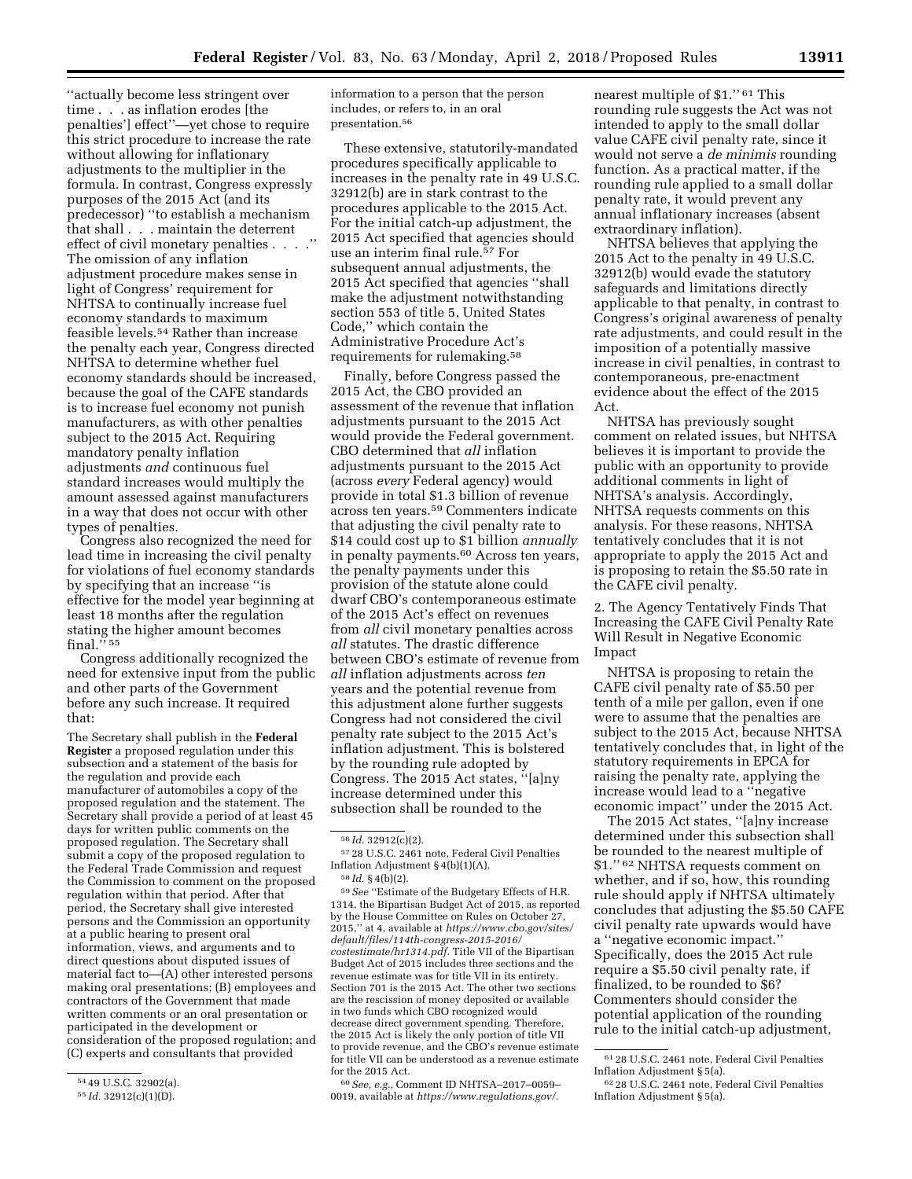''actually become less stringent over time . . . as inflation erodes [the penalties'] effect''—yet chose to require this strict procedure to increase the rate without allowing for inflationary adjustments to the multiplier in the formula. In contrast, Congress expressly purposes of the 2015 Act (and its predecessor) ''to establish a mechanism that shall . . . maintain the deterrent effect of civil monetary penalties . . . .'' The omission of any inflation adjustment procedure makes sense in light of Congress' requirement for NHTSA to continually increase fuel economy standards to maximum feasible levels.54 Rather than increase the penalty each year, Congress directed NHTSA to determine whether fuel economy standards should be increased, because the goal of the CAFE standards is to increase fuel economy not punish manufacturers, as with other penalties subject to the 2015 Act. Requiring mandatory penalty inflation adjustments *and* continuous fuel standard increases would multiply the amount assessed against manufacturers in a way that does not occur with other types of penalties.

Congress also recognized the need for lead time in increasing the civil penalty for violations of fuel economy standards by specifying that an increase ''is effective for the model year beginning at least 18 months after the regulation stating the higher amount becomes final.'' 55

Congress additionally recognized the need for extensive input from the public and other parts of the Government before any such increase. It required that:

The Secretary shall publish in the **Federal Register** a proposed regulation under this subsection and a statement of the basis for the regulation and provide each manufacturer of automobiles a copy of the proposed regulation and the statement. The Secretary shall provide a period of at least 45 days for written public comments on the proposed regulation. The Secretary shall submit a copy of the proposed regulation to the Federal Trade Commission and request the Commission to comment on the proposed regulation within that period. After that period, the Secretary shall give interested persons and the Commission an opportunity at a public hearing to present oral information, views, and arguments and to direct questions about disputed issues of material fact to—(A) other interested persons making oral presentations; (B) employees and contractors of the Government that made written comments or an oral presentation or participated in the development or consideration of the proposed regulation; and (C) experts and consultants that provided

information to a person that the person includes, or refers to, in an oral presentation.56

These extensive, statutorily-mandated procedures specifically applicable to increases in the penalty rate in 49 U.S.C. 32912(b) are in stark contrast to the procedures applicable to the 2015 Act. For the initial catch-up adjustment, the 2015 Act specified that agencies should use an interim final rule.<sup>57</sup> For subsequent annual adjustments, the 2015 Act specified that agencies ''shall make the adjustment notwithstanding section 553 of title 5, United States Code,'' which contain the Administrative Procedure Act's requirements for rulemaking.58

Finally, before Congress passed the 2015 Act, the CBO provided an assessment of the revenue that inflation adjustments pursuant to the 2015 Act would provide the Federal government. CBO determined that *all* inflation adjustments pursuant to the 2015 Act (across *every* Federal agency) would provide in total \$1.3 billion of revenue across ten years.59 Commenters indicate that adjusting the civil penalty rate to \$14 could cost up to \$1 billion *annually*  in penalty payments.60 Across ten years, the penalty payments under this provision of the statute alone could dwarf CBO's contemporaneous estimate of the 2015 Act's effect on revenues from *all* civil monetary penalties across *all* statutes. The drastic difference between CBO's estimate of revenue from *all* inflation adjustments across *ten*  years and the potential revenue from this adjustment alone further suggests Congress had not considered the civil penalty rate subject to the 2015 Act's inflation adjustment. This is bolstered by the rounding rule adopted by Congress. The 2015 Act states, ''[a]ny increase determined under this subsection shall be rounded to the

59*See* ''Estimate of the Budgetary Effects of H.R. 1314, the Bipartisan Budget Act of 2015, as reported by the House Committee on Rules on October 27, 2015,'' at 4, available at *[https://www.cbo.gov/sites/](https://www.cbo.gov/sites/default/files/114th-congress-2015-2016/costestimate/hr1314.pdf)  [default/files/114th-congress-2015-2016/](https://www.cbo.gov/sites/default/files/114th-congress-2015-2016/costestimate/hr1314.pdf) [costestimate/hr1314.pdf.](https://www.cbo.gov/sites/default/files/114th-congress-2015-2016/costestimate/hr1314.pdf)* Title VII of the Bipartisan Budget Act of 2015 includes three sections and the revenue estimate was for title VII in its entirety. Section 701 is the 2015 Act. The other two sections are the rescission of money deposited or available in two funds which CBO recognized would decrease direct government spending. Therefore, the 2015 Act is likely the only portion of title VII to provide revenue, and the CBO's revenue estimate for title VII can be understood as a revenue estimate for the 2015 Act.

60*See, e.g.,* Comment ID NHTSA–2017–0059– 0019, available at *[https://www.regulations.gov/.](https://www.regulations.gov/)* 

nearest multiple of \$1.'' 61 This rounding rule suggests the Act was not intended to apply to the small dollar value CAFE civil penalty rate, since it would not serve a *de minimis* rounding function. As a practical matter, if the rounding rule applied to a small dollar penalty rate, it would prevent any annual inflationary increases (absent extraordinary inflation).

NHTSA believes that applying the 2015 Act to the penalty in 49 U.S.C. 32912(b) would evade the statutory safeguards and limitations directly applicable to that penalty, in contrast to Congress's original awareness of penalty rate adjustments, and could result in the imposition of a potentially massive increase in civil penalties, in contrast to contemporaneous, pre-enactment evidence about the effect of the 2015 Act.

NHTSA has previously sought comment on related issues, but NHTSA believes it is important to provide the public with an opportunity to provide additional comments in light of NHTSA's analysis. Accordingly, NHTSA requests comments on this analysis. For these reasons, NHTSA tentatively concludes that it is not appropriate to apply the 2015 Act and is proposing to retain the \$5.50 rate in the CAFE civil penalty.

2. The Agency Tentatively Finds That Increasing the CAFE Civil Penalty Rate Will Result in Negative Economic Impact

NHTSA is proposing to retain the CAFE civil penalty rate of \$5.50 per tenth of a mile per gallon, even if one were to assume that the penalties are subject to the 2015 Act, because NHTSA tentatively concludes that, in light of the statutory requirements in EPCA for raising the penalty rate, applying the increase would lead to a ''negative economic impact'' under the 2015 Act.

The 2015 Act states, ''[a]ny increase determined under this subsection shall be rounded to the nearest multiple of \$1.'' 62 NHTSA requests comment on whether, and if so, how, this rounding rule should apply if NHTSA ultimately concludes that adjusting the \$5.50 CAFE civil penalty rate upwards would have a ''negative economic impact.'' Specifically, does the 2015 Act rule require a \$5.50 civil penalty rate, if finalized, to be rounded to \$6? Commenters should consider the potential application of the rounding rule to the initial catch-up adjustment,

<sup>54</sup> 49 U.S.C. 32902(a).

<sup>55</sup> *Id.* 32912(c)(1)(D).

<sup>56</sup> *Id.* 32912(c)(2).

<sup>57</sup> 28 U.S.C. 2461 note, Federal Civil Penalties Inflation Adjustment § 4(b)(1)(A). 58 *Id.* § 4(b)(2).

<sup>61</sup> 28 U.S.C. 2461 note, Federal Civil Penalties Inflation Adjustment § 5(a).

<sup>62</sup> 28 U.S.C. 2461 note, Federal Civil Penalties Inflation Adjustment § 5(a).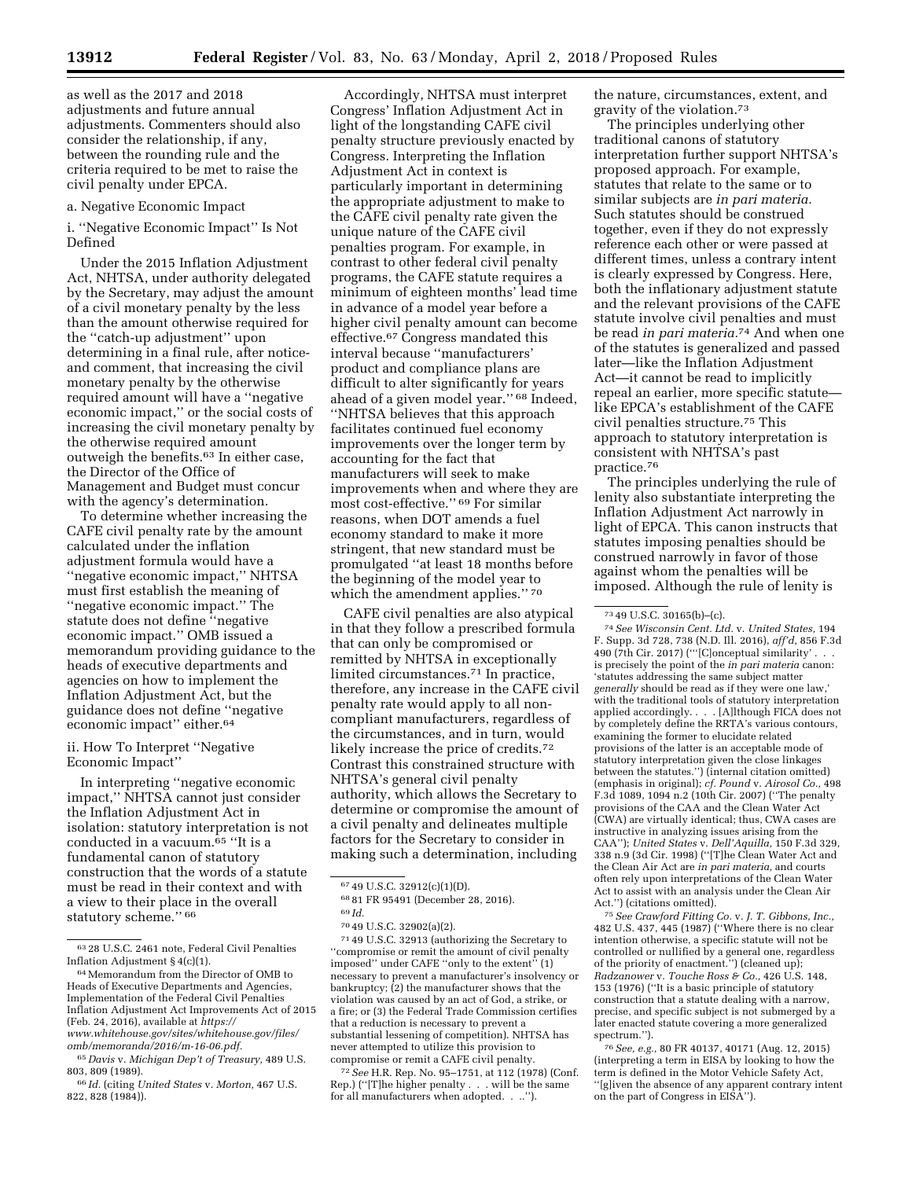as well as the 2017 and 2018 adjustments and future annual adjustments. Commenters should also consider the relationship, if any, between the rounding rule and the criteria required to be met to raise the civil penalty under EPCA.

#### a. Negative Economic Impact

i. ''Negative Economic Impact'' Is Not Defined

Under the 2015 Inflation Adjustment Act, NHTSA, under authority delegated by the Secretary, may adjust the amount of a civil monetary penalty by the less than the amount otherwise required for the ''catch-up adjustment'' upon determining in a final rule, after noticeand comment, that increasing the civil monetary penalty by the otherwise required amount will have a ''negative economic impact,'' or the social costs of increasing the civil monetary penalty by the otherwise required amount outweigh the benefits.63 In either case, the Director of the Office of Management and Budget must concur with the agency's determination.

To determine whether increasing the CAFE civil penalty rate by the amount calculated under the inflation adjustment formula would have a ''negative economic impact,'' NHTSA must first establish the meaning of ''negative economic impact.'' The statute does not define ''negative economic impact.'' OMB issued a memorandum providing guidance to the heads of executive departments and agencies on how to implement the Inflation Adjustment Act, but the guidance does not define ''negative economic impact'' either.64

## ii. How To Interpret ''Negative Economic Impact''

In interpreting ''negative economic impact,'' NHTSA cannot just consider the Inflation Adjustment Act in isolation: statutory interpretation is not conducted in a vacuum.65 ''It is a fundamental canon of statutory construction that the words of a statute must be read in their context and with a view to their place in the overall statutory scheme." 66

Accordingly, NHTSA must interpret Congress' Inflation Adjustment Act in light of the longstanding CAFE civil penalty structure previously enacted by Congress. Interpreting the Inflation Adjustment Act in context is particularly important in determining the appropriate adjustment to make to the CAFE civil penalty rate given the unique nature of the CAFE civil penalties program. For example, in contrast to other federal civil penalty programs, the CAFE statute requires a minimum of eighteen months' lead time in advance of a model year before a higher civil penalty amount can become effective.67 Congress mandated this interval because ''manufacturers' product and compliance plans are difficult to alter significantly for years ahead of a given model year.'' 68 Indeed, ''NHTSA believes that this approach facilitates continued fuel economy improvements over the longer term by accounting for the fact that manufacturers will seek to make improvements when and where they are most cost-effective.'' 69 For similar reasons, when DOT amends a fuel economy standard to make it more stringent, that new standard must be promulgated ''at least 18 months before the beginning of the model year to which the amendment applies."<sup>70</sup>

CAFE civil penalties are also atypical in that they follow a prescribed formula that can only be compromised or remitted by NHTSA in exceptionally limited circumstances.71 In practice, therefore, any increase in the CAFE civil penalty rate would apply to all noncompliant manufacturers, regardless of the circumstances, and in turn, would likely increase the price of credits.<sup>72</sup> Contrast this constrained structure with NHTSA's general civil penalty authority, which allows the Secretary to determine or compromise the amount of a civil penalty and delineates multiple factors for the Secretary to consider in making such a determination, including

71 49 U.S.C. 32913 (authorizing the Secretary to ''compromise or remit the amount of civil penalty imposed'' under CAFE ''only to the extent'' (1) necessary to prevent a manufacturer's insolvency or bankruptcy; (2) the manufacturer shows that the violation was caused by an act of God, a strike, or a fire; or (3) the Federal Trade Commission certifies that a reduction is necessary to prevent a substantial lessening of competition). NHTSA has never attempted to utilize this provision to compromise or remit a CAFE civil penalty.

72*See* H.R. Rep. No. 95–1751, at 112 (1978) (Conf. Rep.) (''[T]he higher penalty . . . will be the same for all manufacturers when adopted. . ..'').

the nature, circumstances, extent, and gravity of the violation.73

The principles underlying other traditional canons of statutory interpretation further support NHTSA's proposed approach. For example, statutes that relate to the same or to similar subjects are *in pari materia.*  Such statutes should be construed together, even if they do not expressly reference each other or were passed at different times, unless a contrary intent is clearly expressed by Congress. Here, both the inflationary adjustment statute and the relevant provisions of the CAFE statute involve civil penalties and must be read *in pari materia.*74 And when one of the statutes is generalized and passed later—like the Inflation Adjustment Act—it cannot be read to implicitly repeal an earlier, more specific statute like EPCA's establishment of the CAFE civil penalties structure.75 This approach to statutory interpretation is consistent with NHTSA's past practice.76

The principles underlying the rule of lenity also substantiate interpreting the Inflation Adjustment Act narrowly in light of EPCA. This canon instructs that statutes imposing penalties should be construed narrowly in favor of those against whom the penalties will be imposed. Although the rule of lenity is

74*See Wisconsin Cent. Ltd.* v. *United States,* 194 F. Supp. 3d 728, 738 (N.D. Ill. 2016), *aff'd,* 856 F.3d 490 (7th Cir. 2017) ("'[C]onceptual similarity'. is precisely the point of the *in pari materia* canon: 'statutes addressing the same subject matter *generally* should be read as if they were one law,' with the traditional tools of statutory interpretation applied accordingly. . . . [A]lthough FICA does not by completely define the RRTA's various contours, examining the former to elucidate related provisions of the latter is an acceptable mode of statutory interpretation given the close linkages between the statutes.'') (internal citation omitted) (emphasis in original); *cf. Pound* v. *Airosol Co.,* 498 F.3d 1089, 1094 n.2 (10th Cir. 2007) (''The penalty provisions of the CAA and the Clean Water Act (CWA) are virtually identical; thus, CWA cases are instructive in analyzing issues arising from the CAA''); *United States* v. *Dell'Aquilla,* 150 F.3d 329, 338 n.9 (3d Cir. 1998) (''[T]he Clean Water Act and the Clean Air Act are *in pari materia,* and courts often rely upon interpretations of the Clean Water Act to assist with an analysis under the Clean Air Act.'') (citations omitted).

75*See Crawford Fitting Co.* v. *J. T. Gibbons, Inc.,*  482 U.S. 437, 445 (1987) (''Where there is no clear intention otherwise, a specific statute will not be controlled or nullified by a general one, regardless of the priority of enactment.'') (cleaned up); *Radzanower* v. *Touche Ross & Co.,* 426 U.S. 148, 153 (1976) (''It is a basic principle of statutory construction that a statute dealing with a narrow, precise, and specific subject is not submerged by a later enacted statute covering a more generalized spectrum.'').

76*See, e.g.,* 80 FR 40137, 40171 (Aug. 12, 2015) (interpreting a term in EISA by looking to how the term is defined in the Motor Vehicle Safety Act, ''[g]iven the absence of any apparent contrary intent on the part of Congress in EISA'').

<sup>63</sup> 28 U.S.C. 2461 note, Federal Civil Penalties Inflation Adjustment § 4(c)(1).

<sup>64</sup>Memorandum from the Director of OMB to Heads of Executive Departments and Agencies, Implementation of the Federal Civil Penalties Inflation Adjustment Act Improvements Act of 2015 (Feb. 24, 2016), available at *[https://](https://www.whitehouse.gov/sites/whitehouse.gov/files/omb/memoranda/2016/m-16-06.pdf)*

*[www.whitehouse.gov/sites/whitehouse.gov/files/](https://www.whitehouse.gov/sites/whitehouse.gov/files/omb/memoranda/2016/m-16-06.pdf)  [omb/memoranda/2016/m-16-06.pdf.](https://www.whitehouse.gov/sites/whitehouse.gov/files/omb/memoranda/2016/m-16-06.pdf)* 

<sup>65</sup> *Davis* v. *Michigan Dep't of Treasury,* 489 U.S. 803, 809 (1989).

<sup>66</sup> *Id.* (citing *United States* v. *Morton,* 467 U.S. 822, 828 (1984)).

<sup>67</sup> 49 U.S.C. 32912(c)(1)(D).

<sup>68</sup> 81 FR 95491 (December 28, 2016).

<sup>69</sup> *Id.* 

<sup>70</sup> 49 U.S.C. 32902(a)(2).

<sup>73</sup> 49 U.S.C. 30165(b)–(c).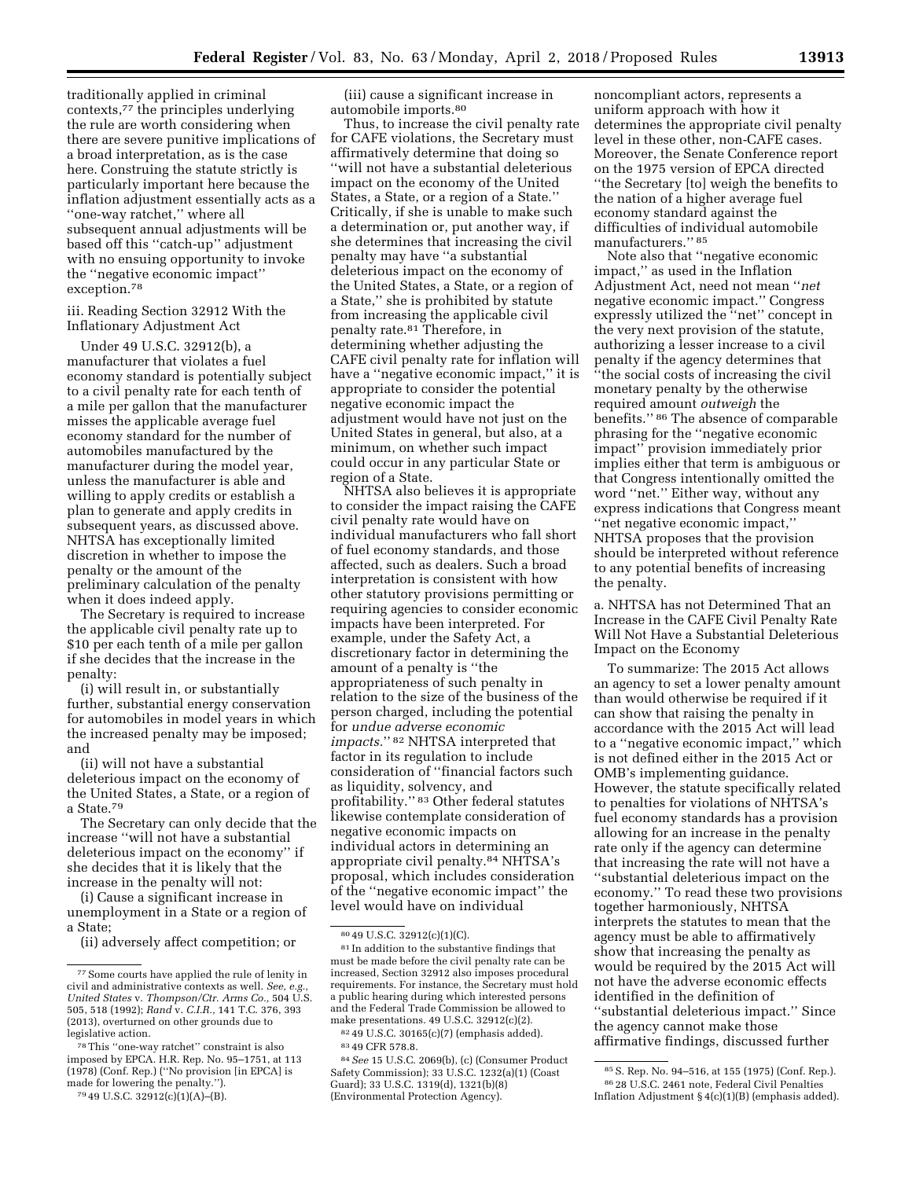traditionally applied in criminal contexts,77 the principles underlying the rule are worth considering when there are severe punitive implications of a broad interpretation, as is the case here. Construing the statute strictly is particularly important here because the inflation adjustment essentially acts as a ''one-way ratchet,'' where all subsequent annual adjustments will be based off this ''catch-up'' adjustment with no ensuing opportunity to invoke the ''negative economic impact'' exception.78

iii. Reading Section 32912 With the Inflationary Adjustment Act

Under 49 U.S.C. 32912(b), a manufacturer that violates a fuel economy standard is potentially subject to a civil penalty rate for each tenth of a mile per gallon that the manufacturer misses the applicable average fuel economy standard for the number of automobiles manufactured by the manufacturer during the model year, unless the manufacturer is able and willing to apply credits or establish a plan to generate and apply credits in subsequent years, as discussed above. NHTSA has exceptionally limited discretion in whether to impose the penalty or the amount of the preliminary calculation of the penalty when it does indeed apply.

The Secretary is required to increase the applicable civil penalty rate up to \$10 per each tenth of a mile per gallon if she decides that the increase in the penalty:

(i) will result in, or substantially further, substantial energy conservation for automobiles in model years in which the increased penalty may be imposed; and

(ii) will not have a substantial deleterious impact on the economy of the United States, a State, or a region of a State.79

The Secretary can only decide that the increase ''will not have a substantial deleterious impact on the economy'' if she decides that it is likely that the increase in the penalty will not:

(i) Cause a significant increase in unemployment in a State or a region of a State;

(ii) adversely affect competition; or

(iii) cause a significant increase in automobile imports.80

Thus, to increase the civil penalty rate for CAFE violations, the Secretary must affirmatively determine that doing so ''will not have a substantial deleterious impact on the economy of the United States, a State, or a region of a State.'' Critically, if she is unable to make such a determination or, put another way, if she determines that increasing the civil penalty may have ''a substantial deleterious impact on the economy of the United States, a State, or a region of a State,'' she is prohibited by statute from increasing the applicable civil penalty rate.81 Therefore, in determining whether adjusting the CAFE civil penalty rate for inflation will have a ''negative economic impact,'' it is appropriate to consider the potential negative economic impact the adjustment would have not just on the United States in general, but also, at a minimum, on whether such impact could occur in any particular State or region of a State.

NHTSA also believes it is appropriate to consider the impact raising the CAFE civil penalty rate would have on individual manufacturers who fall short of fuel economy standards, and those affected, such as dealers. Such a broad interpretation is consistent with how other statutory provisions permitting or requiring agencies to consider economic impacts have been interpreted. For example, under the Safety Act, a discretionary factor in determining the amount of a penalty is ''the appropriateness of such penalty in relation to the size of the business of the person charged, including the potential for *undue adverse economic impacts.*'' 82 NHTSA interpreted that factor in its regulation to include consideration of ''financial factors such as liquidity, solvency, and profitability.'' 83 Other federal statutes likewise contemplate consideration of negative economic impacts on individual actors in determining an appropriate civil penalty.84 NHTSA's proposal, which includes consideration of the ''negative economic impact'' the level would have on individual

84*See* 15 U.S.C. 2069(b), (c) (Consumer Product Safety Commission); 33 U.S.C. 1232(a)(1) (Coast Guard); 33 U.S.C. 1319(d), 1321(b)(8) (Environmental Protection Agency).

noncompliant actors, represents a uniform approach with how it determines the appropriate civil penalty level in these other, non-CAFE cases. Moreover, the Senate Conference report on the 1975 version of EPCA directed ''the Secretary [to] weigh the benefits to the nation of a higher average fuel economy standard against the difficulties of individual automobile manufacturers.'' 85

Note also that ''negative economic impact,'' as used in the Inflation Adjustment Act, need not mean ''*net*  negative economic impact.'' Congress expressly utilized the ''net'' concept in the very next provision of the statute, authorizing a lesser increase to a civil penalty if the agency determines that ''the social costs of increasing the civil monetary penalty by the otherwise required amount *outweigh* the benefits.'' 86 The absence of comparable phrasing for the ''negative economic impact'' provision immediately prior implies either that term is ambiguous or that Congress intentionally omitted the word ''net.'' Either way, without any express indications that Congress meant ''net negative economic impact,'' NHTSA proposes that the provision should be interpreted without reference to any potential benefits of increasing the penalty.

a. NHTSA has not Determined That an Increase in the CAFE Civil Penalty Rate Will Not Have a Substantial Deleterious Impact on the Economy

To summarize: The 2015 Act allows an agency to set a lower penalty amount than would otherwise be required if it can show that raising the penalty in accordance with the 2015 Act will lead to a ''negative economic impact,'' which is not defined either in the 2015 Act or OMB's implementing guidance. However, the statute specifically related to penalties for violations of NHTSA's fuel economy standards has a provision allowing for an increase in the penalty rate only if the agency can determine that increasing the rate will not have a ''substantial deleterious impact on the economy.'' To read these two provisions together harmoniously, NHTSA interprets the statutes to mean that the agency must be able to affirmatively show that increasing the penalty as would be required by the 2015 Act will not have the adverse economic effects identified in the definition of ''substantial deleterious impact.'' Since the agency cannot make those affirmative findings, discussed further

<sup>77</sup>Some courts have applied the rule of lenity in civil and administrative contexts as well. See, e.g. *United States* v. *Thompson/Ctr. Arms Co.,* 504 U.S. 505, 518 (1992); *Rand* v. *C.I.R.,* 141 T.C. 376, 393 (2013), overturned on other grounds due to legislative action.

<sup>78</sup>This ''one-way ratchet'' constraint is also imposed by EPCA. H.R. Rep. No. 95–1751, at 113 (1978) (Conf. Rep.) (''No provision [in EPCA] is made for lowering the penalty.''). 79 49 U.S.C. 32912(c)(1)(A)–(B).

<sup>80</sup> 49 U.S.C. 32912(c)(1)(C).

<sup>81</sup> In addition to the substantive findings that must be made before the civil penalty rate can be increased, Section 32912 also imposes procedural requirements. For instance, the Secretary must hold a public hearing during which interested persons and the Federal Trade Commission be allowed to make presentations. 49 U.S.C. 32912(c)(2).

<sup>82</sup> 49 U.S.C. 30165(c)(7) (emphasis added). 83 49 CFR 578.8.

<sup>85</sup>S. Rep. No. 94–516, at 155 (1975) (Conf. Rep.). 86 28 U.S.C. 2461 note, Federal Civil Penalties Inflation Adjustment § 4(c)(1)(B) (emphasis added).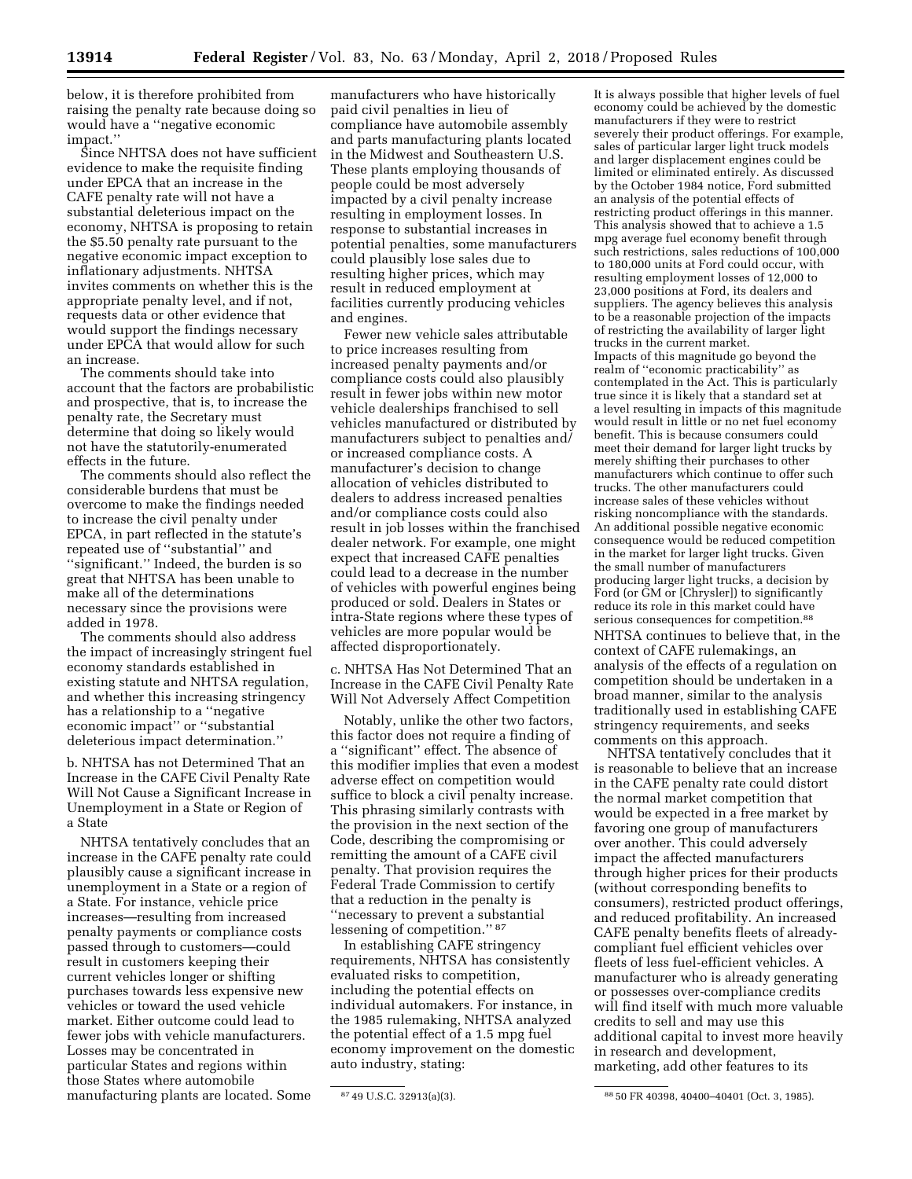below, it is therefore prohibited from raising the penalty rate because doing so would have a ''negative economic impact.''

Since NHTSA does not have sufficient evidence to make the requisite finding under EPCA that an increase in the CAFE penalty rate will not have a substantial deleterious impact on the economy, NHTSA is proposing to retain the \$5.50 penalty rate pursuant to the negative economic impact exception to inflationary adjustments. NHTSA invites comments on whether this is the appropriate penalty level, and if not, requests data or other evidence that would support the findings necessary under EPCA that would allow for such an increase.

The comments should take into account that the factors are probabilistic and prospective, that is, to increase the penalty rate, the Secretary must determine that doing so likely would not have the statutorily-enumerated effects in the future.

The comments should also reflect the considerable burdens that must be overcome to make the findings needed to increase the civil penalty under EPCA, in part reflected in the statute's repeated use of ''substantial'' and ''significant.'' Indeed, the burden is so great that NHTSA has been unable to make all of the determinations necessary since the provisions were added in 1978.

The comments should also address the impact of increasingly stringent fuel economy standards established in existing statute and NHTSA regulation, and whether this increasing stringency has a relationship to a ''negative economic impact'' or ''substantial deleterious impact determination.''

b. NHTSA has not Determined That an Increase in the CAFE Civil Penalty Rate Will Not Cause a Significant Increase in Unemployment in a State or Region of a State

NHTSA tentatively concludes that an increase in the CAFE penalty rate could plausibly cause a significant increase in unemployment in a State or a region of a State. For instance, vehicle price increases—resulting from increased penalty payments or compliance costs passed through to customers—could result in customers keeping their current vehicles longer or shifting purchases towards less expensive new vehicles or toward the used vehicle market. Either outcome could lead to fewer jobs with vehicle manufacturers. Losses may be concentrated in particular States and regions within those States where automobile manufacturing plants are located. Some

manufacturers who have historically paid civil penalties in lieu of compliance have automobile assembly and parts manufacturing plants located in the Midwest and Southeastern U.S. These plants employing thousands of people could be most adversely impacted by a civil penalty increase resulting in employment losses. In response to substantial increases in potential penalties, some manufacturers could plausibly lose sales due to resulting higher prices, which may result in reduced employment at facilities currently producing vehicles and engines.

Fewer new vehicle sales attributable to price increases resulting from increased penalty payments and/or compliance costs could also plausibly result in fewer jobs within new motor vehicle dealerships franchised to sell vehicles manufactured or distributed by manufacturers subject to penalties and/ or increased compliance costs. A manufacturer's decision to change allocation of vehicles distributed to dealers to address increased penalties and/or compliance costs could also result in job losses within the franchised dealer network. For example, one might expect that increased CAFE penalties could lead to a decrease in the number of vehicles with powerful engines being produced or sold. Dealers in States or intra-State regions where these types of vehicles are more popular would be affected disproportionately.

c. NHTSA Has Not Determined That an Increase in the CAFE Civil Penalty Rate Will Not Adversely Affect Competition

Notably, unlike the other two factors, this factor does not require a finding of a ''significant'' effect. The absence of this modifier implies that even a modest adverse effect on competition would suffice to block a civil penalty increase. This phrasing similarly contrasts with the provision in the next section of the Code, describing the compromising or remitting the amount of a CAFE civil penalty. That provision requires the Federal Trade Commission to certify that a reduction in the penalty is ''necessary to prevent a substantial lessening of competition.'' 87

In establishing CAFE stringency requirements, NHTSA has consistently evaluated risks to competition, including the potential effects on individual automakers. For instance, in the 1985 rulemaking, NHTSA analyzed the potential effect of a 1.5 mpg fuel economy improvement on the domestic auto industry, stating:

It is always possible that higher levels of fuel economy could be achieved by the domestic manufacturers if they were to restrict severely their product offerings. For example, sales of particular larger light truck models and larger displacement engines could be limited or eliminated entirely. As discussed by the October 1984 notice, Ford submitted an analysis of the potential effects of restricting product offerings in this manner. This analysis showed that to achieve a 1.5 mpg average fuel economy benefit through such restrictions, sales reductions of 100,000 to 180,000 units at Ford could occur, with resulting employment losses of 12,000 to 23,000 positions at Ford, its dealers and suppliers. The agency believes this analysis to be a reasonable projection of the impacts of restricting the availability of larger light trucks in the current market. Impacts of this magnitude go beyond the realm of ''economic practicability'' as contemplated in the Act. This is particularly true since it is likely that a standard set at a level resulting in impacts of this magnitude would result in little or no net fuel economy benefit. This is because consumers could meet their demand for larger light trucks by merely shifting their purchases to other manufacturers which continue to offer such trucks. The other manufacturers could increase sales of these vehicles without risking noncompliance with the standards. An additional possible negative economic consequence would be reduced competition in the market for larger light trucks. Given the small number of manufacturers producing larger light trucks, a decision by Ford (or GM or [Chrysler]) to significantly reduce its role in this market could have serious consequences for competition.88 NHTSA continues to believe that, in the context of CAFE rulemakings, an analysis of the effects of a regulation on competition should be undertaken in a broad manner, similar to the analysis traditionally used in establishing CAFE stringency requirements, and seeks comments on this approach.

NHTSA tentatively concludes that it is reasonable to believe that an increase in the CAFE penalty rate could distort the normal market competition that would be expected in a free market by favoring one group of manufacturers over another. This could adversely impact the affected manufacturers through higher prices for their products (without corresponding benefits to consumers), restricted product offerings, and reduced profitability. An increased CAFE penalty benefits fleets of alreadycompliant fuel efficient vehicles over fleets of less fuel-efficient vehicles. A manufacturer who is already generating or possesses over-compliance credits will find itself with much more valuable credits to sell and may use this additional capital to invest more heavily in research and development, marketing, add other features to its

<sup>87</sup> 49 U.S.C. 32913(a)(3). 88 50 FR 40398, 40400–40401 (Oct. 3, 1985).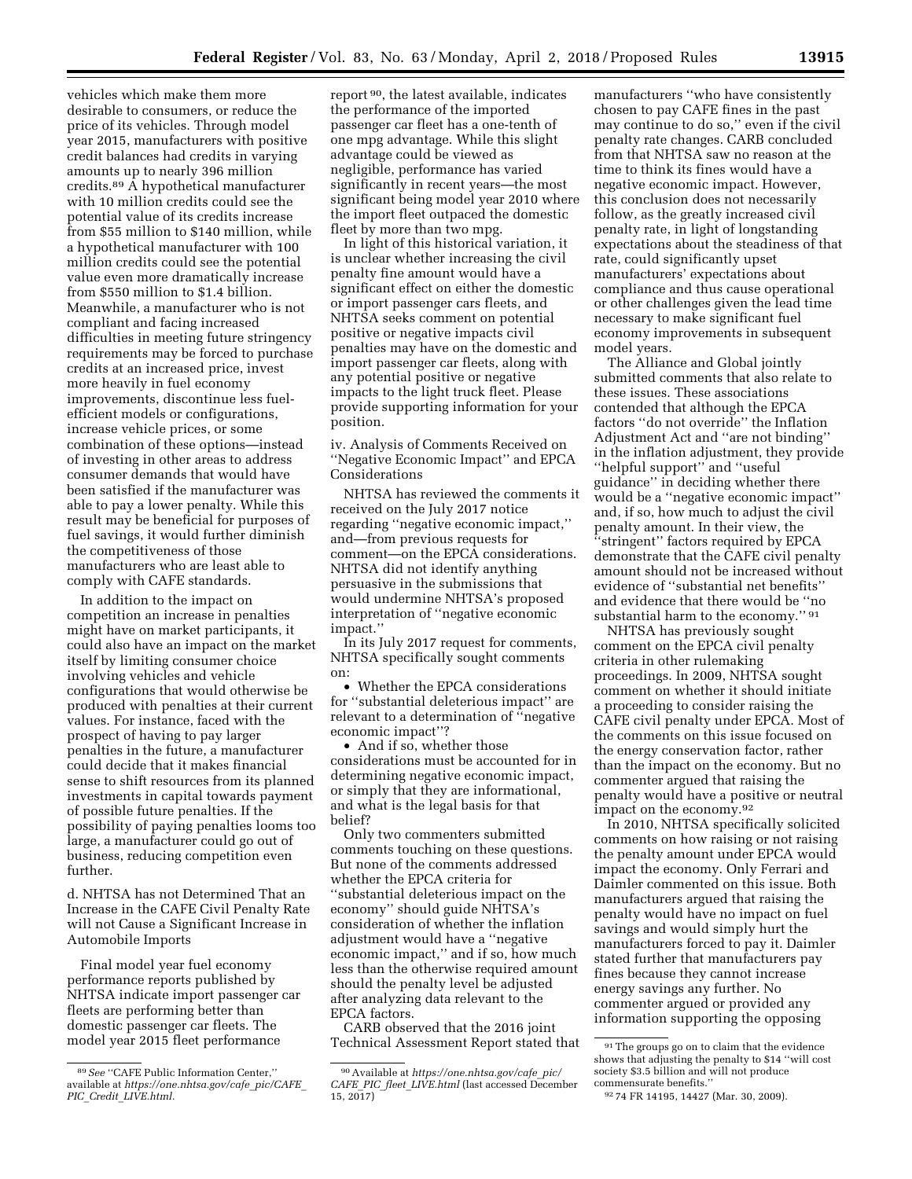vehicles which make them more desirable to consumers, or reduce the price of its vehicles. Through model year 2015, manufacturers with positive credit balances had credits in varying amounts up to nearly 396 million credits.89 A hypothetical manufacturer with 10 million credits could see the potential value of its credits increase from \$55 million to \$140 million, while a hypothetical manufacturer with 100 million credits could see the potential value even more dramatically increase from \$550 million to \$1.4 billion. Meanwhile, a manufacturer who is not compliant and facing increased difficulties in meeting future stringency requirements may be forced to purchase credits at an increased price, invest more heavily in fuel economy improvements, discontinue less fuelefficient models or configurations, increase vehicle prices, or some combination of these options—instead of investing in other areas to address consumer demands that would have been satisfied if the manufacturer was able to pay a lower penalty. While this result may be beneficial for purposes of fuel savings, it would further diminish the competitiveness of those manufacturers who are least able to comply with CAFE standards.

In addition to the impact on competition an increase in penalties might have on market participants, it could also have an impact on the market itself by limiting consumer choice involving vehicles and vehicle configurations that would otherwise be produced with penalties at their current values. For instance, faced with the prospect of having to pay larger penalties in the future, a manufacturer could decide that it makes financial sense to shift resources from its planned investments in capital towards payment of possible future penalties. If the possibility of paying penalties looms too large, a manufacturer could go out of business, reducing competition even further.

d. NHTSA has not Determined That an Increase in the CAFE Civil Penalty Rate will not Cause a Significant Increase in Automobile Imports

Final model year fuel economy performance reports published by NHTSA indicate import passenger car fleets are performing better than domestic passenger car fleets. The model year 2015 fleet performance

report 90, the latest available, indicates the performance of the imported passenger car fleet has a one-tenth of one mpg advantage. While this slight advantage could be viewed as negligible, performance has varied significantly in recent years—the most significant being model year 2010 where the import fleet outpaced the domestic fleet by more than two mpg.

In light of this historical variation, it is unclear whether increasing the civil penalty fine amount would have a significant effect on either the domestic or import passenger cars fleets, and NHTSA seeks comment on potential positive or negative impacts civil penalties may have on the domestic and import passenger car fleets, along with any potential positive or negative impacts to the light truck fleet. Please provide supporting information for your position.

iv. Analysis of Comments Received on ''Negative Economic Impact'' and EPCA Considerations

NHTSA has reviewed the comments it received on the July 2017 notice regarding ''negative economic impact,'' and—from previous requests for comment—on the EPCA considerations. NHTSA did not identify anything persuasive in the submissions that would undermine NHTSA's proposed interpretation of ''negative economic impact.''

In its July 2017 request for comments, NHTSA specifically sought comments on:

• Whether the EPCA considerations for ''substantial deleterious impact'' are relevant to a determination of ''negative economic impact''?

• And if so, whether those considerations must be accounted for in determining negative economic impact, or simply that they are informational, and what is the legal basis for that belief?

Only two commenters submitted comments touching on these questions. But none of the comments addressed whether the EPCA criteria for ''substantial deleterious impact on the economy'' should guide NHTSA's consideration of whether the inflation adjustment would have a ''negative economic impact,'' and if so, how much less than the otherwise required amount should the penalty level be adjusted after analyzing data relevant to the EPCA factors.

CARB observed that the 2016 joint Technical Assessment Report stated that manufacturers ''who have consistently chosen to pay CAFE fines in the past may continue to do so,'' even if the civil penalty rate changes. CARB concluded from that NHTSA saw no reason at the time to think its fines would have a negative economic impact. However, this conclusion does not necessarily follow, as the greatly increased civil penalty rate, in light of longstanding expectations about the steadiness of that rate, could significantly upset manufacturers' expectations about compliance and thus cause operational or other challenges given the lead time necessary to make significant fuel economy improvements in subsequent model years.

The Alliance and Global jointly submitted comments that also relate to these issues. These associations contended that although the EPCA factors ''do not override'' the Inflation Adjustment Act and ''are not binding'' in the inflation adjustment, they provide ''helpful support'' and ''useful guidance'' in deciding whether there would be a ''negative economic impact'' and, if so, how much to adjust the civil penalty amount. In their view, the ''stringent'' factors required by EPCA demonstrate that the CAFE civil penalty amount should not be increased without evidence of ''substantial net benefits'' and evidence that there would be ''no substantial harm to the economy." 91

NHTSA has previously sought comment on the EPCA civil penalty criteria in other rulemaking proceedings. In 2009, NHTSA sought comment on whether it should initiate a proceeding to consider raising the CAFE civil penalty under EPCA. Most of the comments on this issue focused on the energy conservation factor, rather than the impact on the economy. But no commenter argued that raising the penalty would have a positive or neutral impact on the economy.92

In 2010, NHTSA specifically solicited comments on how raising or not raising the penalty amount under EPCA would impact the economy. Only Ferrari and Daimler commented on this issue. Both manufacturers argued that raising the penalty would have no impact on fuel savings and would simply hurt the manufacturers forced to pay it. Daimler stated further that manufacturers pay fines because they cannot increase energy savings any further. No commenter argued or provided any information supporting the opposing

<sup>89</sup>*See* ''CAFE Public Information Center,'' available at *[https://one.nhtsa.gov/cafe](https://one.nhtsa.gov/cafe_pic/CAFE_PIC_Credit_LIVE.html)*\_*pic/CAFE*\_ *PIC*\_*Credit*\_*[LIVE.html.](https://one.nhtsa.gov/cafe_pic/CAFE_PIC_Credit_LIVE.html)* 

<sup>90</sup>Available at *[https://one.nhtsa.gov/cafe](https://one.nhtsa.gov/cafe_pic/CAFE_PIC_fleet_LIVE.html)*\_*pic/ CAFE*\_*PIC*\_*fleet*\_*[LIVE.html](https://one.nhtsa.gov/cafe_pic/CAFE_PIC_fleet_LIVE.html)* (last accessed December 15, 2017)

<sup>91</sup>The groups go on to claim that the evidence shows that adjusting the penalty to \$14 ''will cost society \$3.5 billion and will not produce commensurate benefits.

<sup>92</sup> 74 FR 14195, 14427 (Mar. 30, 2009).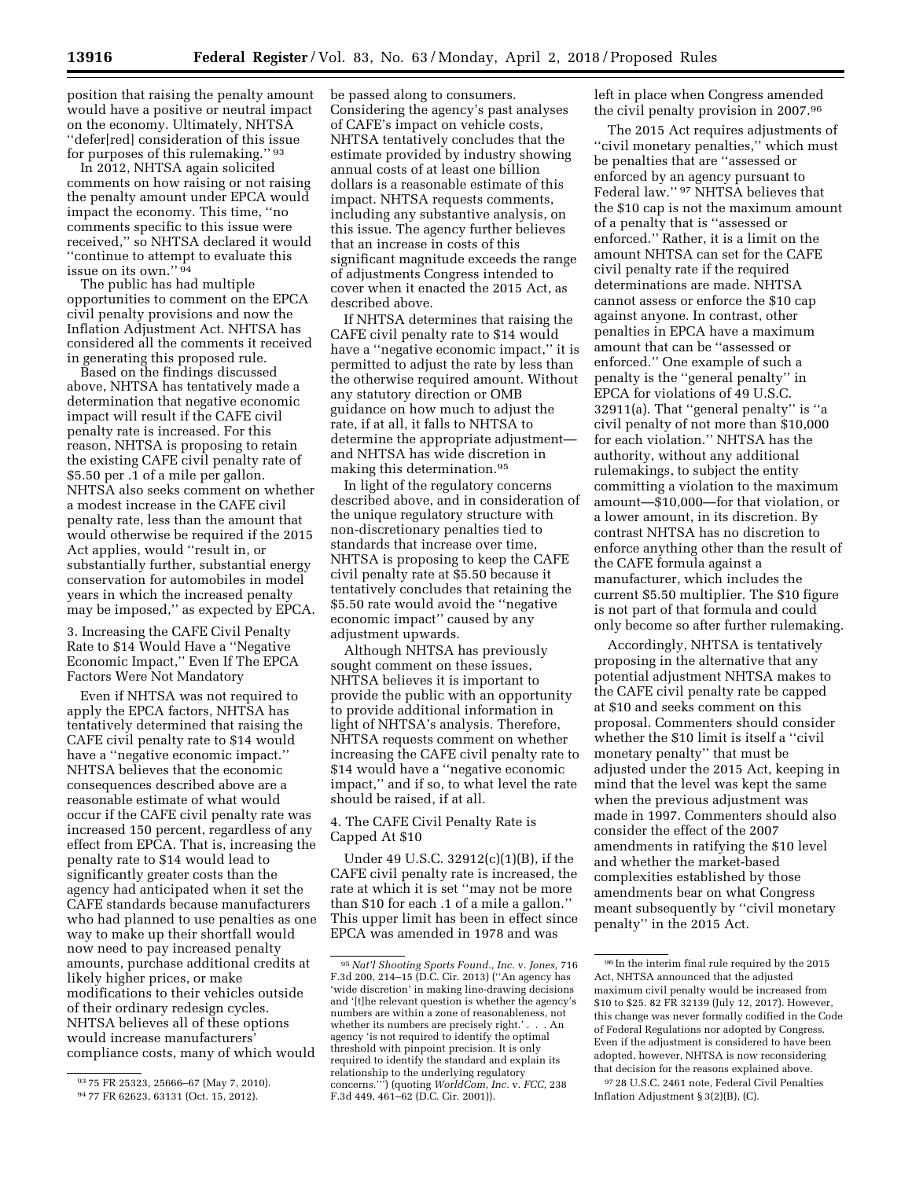position that raising the penalty amount would have a positive or neutral impact on the economy. Ultimately, NHTSA ''defer[red] consideration of this issue for purposes of this rulemaking.'' 93

In 2012, NHTSA again solicited comments on how raising or not raising the penalty amount under EPCA would impact the economy. This time, ''no comments specific to this issue were received,'' so NHTSA declared it would ''continue to attempt to evaluate this issue on its own."<sup>94</sup>

The public has had multiple opportunities to comment on the EPCA civil penalty provisions and now the Inflation Adjustment Act. NHTSA has considered all the comments it received in generating this proposed rule.

Based on the findings discussed above, NHTSA has tentatively made a determination that negative economic impact will result if the CAFE civil penalty rate is increased. For this reason, NHTSA is proposing to retain the existing CAFE civil penalty rate of \$5.50 per .1 of a mile per gallon. NHTSA also seeks comment on whether a modest increase in the CAFE civil penalty rate, less than the amount that would otherwise be required if the 2015 Act applies, would ''result in, or substantially further, substantial energy conservation for automobiles in model years in which the increased penalty may be imposed,'' as expected by EPCA.

3. Increasing the CAFE Civil Penalty Rate to \$14 Would Have a ''Negative Economic Impact,'' Even If The EPCA Factors Were Not Mandatory

Even if NHTSA was not required to apply the EPCA factors, NHTSA has tentatively determined that raising the CAFE civil penalty rate to \$14 would have a ''negative economic impact.'' NHTSA believes that the economic consequences described above are a reasonable estimate of what would occur if the CAFE civil penalty rate was increased 150 percent, regardless of any effect from EPCA. That is, increasing the penalty rate to \$14 would lead to significantly greater costs than the agency had anticipated when it set the CAFE standards because manufacturers who had planned to use penalties as one way to make up their shortfall would now need to pay increased penalty amounts, purchase additional credits at likely higher prices, or make modifications to their vehicles outside of their ordinary redesign cycles. NHTSA believes all of these options would increase manufacturers' compliance costs, many of which would

be passed along to consumers. Considering the agency's past analyses of CAFE's impact on vehicle costs, NHTSA tentatively concludes that the estimate provided by industry showing annual costs of at least one billion dollars is a reasonable estimate of this impact. NHTSA requests comments, including any substantive analysis, on this issue. The agency further believes that an increase in costs of this significant magnitude exceeds the range of adjustments Congress intended to cover when it enacted the 2015 Act, as described above.

If NHTSA determines that raising the CAFE civil penalty rate to \$14 would have a ''negative economic impact,'' it is permitted to adjust the rate by less than the otherwise required amount. Without any statutory direction or OMB guidance on how much to adjust the rate, if at all, it falls to NHTSA to determine the appropriate adjustment and NHTSA has wide discretion in making this determination.95

In light of the regulatory concerns described above, and in consideration of the unique regulatory structure with non-discretionary penalties tied to standards that increase over time, NHTSA is proposing to keep the CAFE civil penalty rate at \$5.50 because it tentatively concludes that retaining the \$5.50 rate would avoid the ''negative economic impact'' caused by any adjustment upwards.

Although NHTSA has previously sought comment on these issues, NHTSA believes it is important to provide the public with an opportunity to provide additional information in light of NHTSA's analysis. Therefore, NHTSA requests comment on whether increasing the CAFE civil penalty rate to \$14 would have a ''negative economic impact,'' and if so, to what level the rate should be raised, if at all.

## 4. The CAFE Civil Penalty Rate is Capped At \$10

Under 49 U.S.C. 32912(c)(1)(B), if the CAFE civil penalty rate is increased, the rate at which it is set ''may not be more than \$10 for each .1 of a mile a gallon.'' This upper limit has been in effect since EPCA was amended in 1978 and was

left in place when Congress amended the civil penalty provision in 2007.96

The 2015 Act requires adjustments of ''civil monetary penalties,'' which must be penalties that are ''assessed or enforced by an agency pursuant to Federal law.'' 97 NHTSA believes that the \$10 cap is not the maximum amount of a penalty that is ''assessed or enforced.'' Rather, it is a limit on the amount NHTSA can set for the CAFE civil penalty rate if the required determinations are made. NHTSA cannot assess or enforce the \$10 cap against anyone. In contrast, other penalties in EPCA have a maximum amount that can be ''assessed or enforced.'' One example of such a penalty is the ''general penalty'' in EPCA for violations of 49 U.S.C. 32911(a). That ''general penalty'' is ''a civil penalty of not more than \$10,000 for each violation.'' NHTSA has the authority, without any additional rulemakings, to subject the entity committing a violation to the maximum amount—\$10,000—for that violation, or a lower amount, in its discretion. By contrast NHTSA has no discretion to enforce anything other than the result of the CAFE formula against a manufacturer, which includes the current \$5.50 multiplier. The \$10 figure is not part of that formula and could only become so after further rulemaking.

Accordingly, NHTSA is tentatively proposing in the alternative that any potential adjustment NHTSA makes to the CAFE civil penalty rate be capped at \$10 and seeks comment on this proposal. Commenters should consider whether the \$10 limit is itself a ''civil monetary penalty'' that must be adjusted under the 2015 Act, keeping in mind that the level was kept the same when the previous adjustment was made in 1997. Commenters should also consider the effect of the 2007 amendments in ratifying the \$10 level and whether the market-based complexities established by those amendments bear on what Congress meant subsequently by ''civil monetary penalty'' in the 2015 Act.

<sup>93</sup> 75 FR 25323, 25666–67 (May 7, 2010).

<sup>94</sup> 77 FR 62623, 63131 (Oct. 15, 2012).

<sup>95</sup>*Nat'l Shooting Sports Found., Inc.* v. *Jones,* 716 F.3d 200, 214–15 (D.C. Cir. 2013) (''An agency has 'wide discretion' in making line-drawing decisions and '[t]he relevant question is whether the agency's numbers are within a zone of reasonableness, not whether its numbers are precisely right.' . . . An agency 'is not required to identify the optimal threshold with pinpoint precision. It is only required to identify the standard and explain its relationship to the underlying regulatory concerns.''') (quoting *WorldCom, Inc.* v. *FCC,* 238 F.3d 449, 461–62 (D.C. Cir. 2001)).

<sup>96</sup> In the interim final rule required by the 2015 Act, NHTSA announced that the adjusted maximum civil penalty would be increased from \$10 to \$25. 82 FR 32139 (July 12, 2017). However, this change was never formally codified in the Code of Federal Regulations nor adopted by Congress. Even if the adjustment is considered to have been adopted, however, NHTSA is now reconsidering that decision for the reasons explained above.

<sup>97</sup> 28 U.S.C. 2461 note, Federal Civil Penalties Inflation Adjustment § 3(2)(B), (C).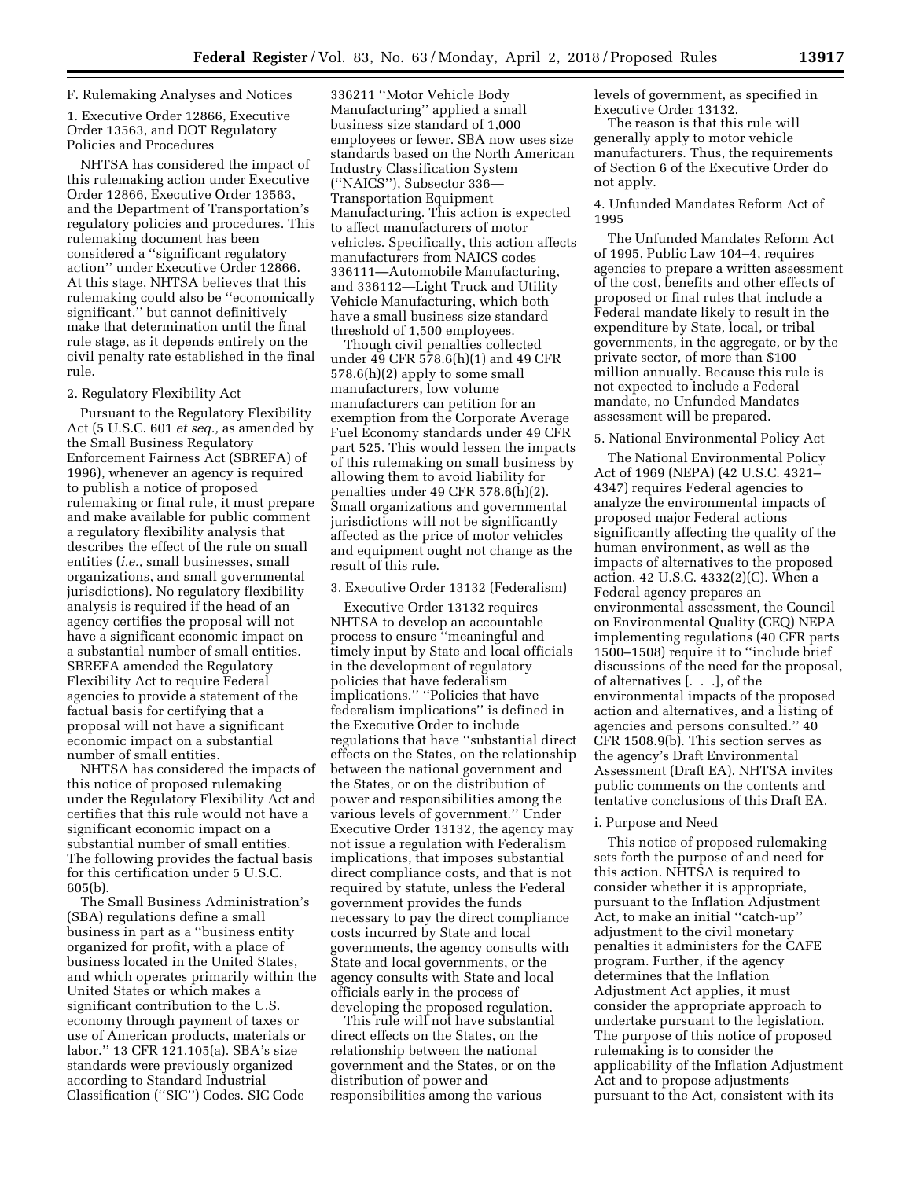# F. Rulemaking Analyses and Notices

1. Executive Order 12866, Executive Order 13563, and DOT Regulatory Policies and Procedures

NHTSA has considered the impact of this rulemaking action under Executive Order 12866, Executive Order 13563, and the Department of Transportation's regulatory policies and procedures. This rulemaking document has been considered a ''significant regulatory action'' under Executive Order 12866. At this stage, NHTSA believes that this rulemaking could also be ''economically significant,'' but cannot definitively make that determination until the final rule stage, as it depends entirely on the civil penalty rate established in the final rule.

#### 2. Regulatory Flexibility Act

Pursuant to the Regulatory Flexibility Act (5 U.S.C. 601 *et seq.,* as amended by the Small Business Regulatory Enforcement Fairness Act (SBREFA) of 1996), whenever an agency is required to publish a notice of proposed rulemaking or final rule, it must prepare and make available for public comment a regulatory flexibility analysis that describes the effect of the rule on small entities (*i.e.,* small businesses, small organizations, and small governmental jurisdictions). No regulatory flexibility analysis is required if the head of an agency certifies the proposal will not have a significant economic impact on a substantial number of small entities. SBREFA amended the Regulatory Flexibility Act to require Federal agencies to provide a statement of the factual basis for certifying that a proposal will not have a significant economic impact on a substantial number of small entities.

NHTSA has considered the impacts of this notice of proposed rulemaking under the Regulatory Flexibility Act and certifies that this rule would not have a significant economic impact on a substantial number of small entities. The following provides the factual basis for this certification under 5 U.S.C. 605(b).

The Small Business Administration's (SBA) regulations define a small business in part as a ''business entity organized for profit, with a place of business located in the United States, and which operates primarily within the United States or which makes a significant contribution to the U.S. economy through payment of taxes or use of American products, materials or labor.'' 13 CFR 121.105(a). SBA's size standards were previously organized according to Standard Industrial Classification (''SIC'') Codes. SIC Code

336211 ''Motor Vehicle Body Manufacturing'' applied a small business size standard of 1,000 employees or fewer. SBA now uses size standards based on the North American Industry Classification System (''NAICS''), Subsector 336— Transportation Equipment Manufacturing. This action is expected to affect manufacturers of motor vehicles. Specifically, this action affects manufacturers from NAICS codes 336111—Automobile Manufacturing, and 336112—Light Truck and Utility Vehicle Manufacturing, which both have a small business size standard threshold of 1,500 employees.

Though civil penalties collected under 49 CFR 578.6(h)(1) and 49 CFR 578.6(h)(2) apply to some small manufacturers, low volume manufacturers can petition for an exemption from the Corporate Average Fuel Economy standards under 49 CFR part 525. This would lessen the impacts of this rulemaking on small business by allowing them to avoid liability for penalties under 49 CFR 578.6(h)(2). Small organizations and governmental jurisdictions will not be significantly affected as the price of motor vehicles and equipment ought not change as the result of this rule.

# 3. Executive Order 13132 (Federalism)

Executive Order 13132 requires NHTSA to develop an accountable process to ensure ''meaningful and timely input by State and local officials in the development of regulatory policies that have federalism implications.'' ''Policies that have federalism implications'' is defined in the Executive Order to include regulations that have ''substantial direct effects on the States, on the relationship between the national government and the States, or on the distribution of power and responsibilities among the various levels of government.'' Under Executive Order 13132, the agency may not issue a regulation with Federalism implications, that imposes substantial direct compliance costs, and that is not required by statute, unless the Federal government provides the funds necessary to pay the direct compliance costs incurred by State and local governments, the agency consults with State and local governments, or the agency consults with State and local officials early in the process of developing the proposed regulation.

This rule will not have substantial direct effects on the States, on the relationship between the national government and the States, or on the distribution of power and responsibilities among the various

levels of government, as specified in Executive Order 13132.

The reason is that this rule will generally apply to motor vehicle manufacturers. Thus, the requirements of Section 6 of the Executive Order do not apply.

## 4. Unfunded Mandates Reform Act of 1995

The Unfunded Mandates Reform Act of 1995, Public Law 104–4, requires agencies to prepare a written assessment of the cost, benefits and other effects of proposed or final rules that include a Federal mandate likely to result in the expenditure by State, local, or tribal governments, in the aggregate, or by the private sector, of more than \$100 million annually. Because this rule is not expected to include a Federal mandate, no Unfunded Mandates assessment will be prepared.

# 5. National Environmental Policy Act

The National Environmental Policy Act of 1969 (NEPA) (42 U.S.C. 4321– 4347) requires Federal agencies to analyze the environmental impacts of proposed major Federal actions significantly affecting the quality of the human environment, as well as the impacts of alternatives to the proposed action. 42 U.S.C. 4332(2)(C). When a Federal agency prepares an environmental assessment, the Council on Environmental Quality (CEQ) NEPA implementing regulations (40 CFR parts 1500–1508) require it to ''include brief discussions of the need for the proposal, of alternatives [. . .], of the environmental impacts of the proposed action and alternatives, and a listing of agencies and persons consulted.'' 40 CFR 1508.9(b). This section serves as the agency's Draft Environmental Assessment (Draft EA). NHTSA invites public comments on the contents and tentative conclusions of this Draft EA.

#### i. Purpose and Need

This notice of proposed rulemaking sets forth the purpose of and need for this action. NHTSA is required to consider whether it is appropriate, pursuant to the Inflation Adjustment Act, to make an initial ''catch-up'' adjustment to the civil monetary penalties it administers for the CAFE program. Further, if the agency determines that the Inflation Adjustment Act applies, it must consider the appropriate approach to undertake pursuant to the legislation. The purpose of this notice of proposed rulemaking is to consider the applicability of the Inflation Adjustment Act and to propose adjustments pursuant to the Act, consistent with its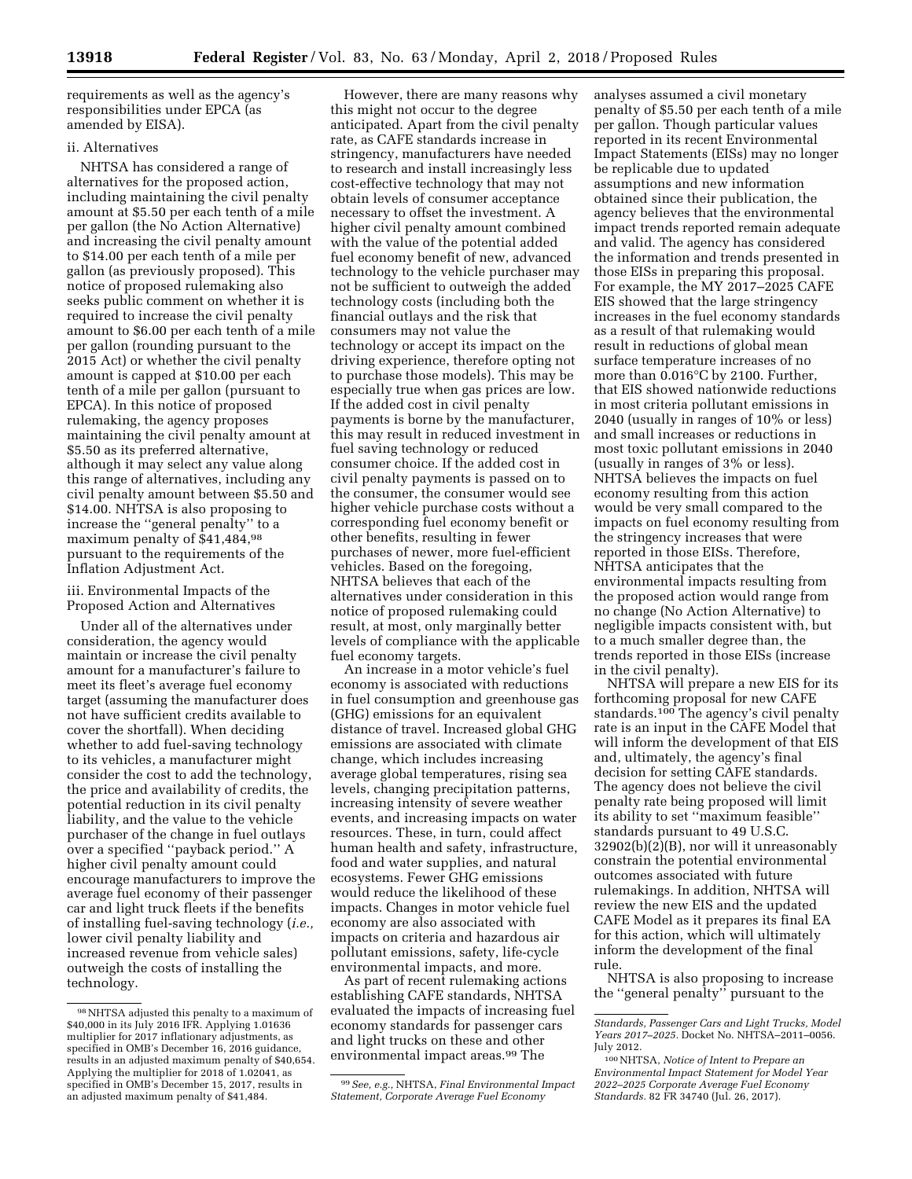requirements as well as the agency's responsibilities under EPCA (as amended by EISA).

### ii. Alternatives

NHTSA has considered a range of alternatives for the proposed action, including maintaining the civil penalty amount at \$5.50 per each tenth of a mile per gallon (the No Action Alternative) and increasing the civil penalty amount to \$14.00 per each tenth of a mile per gallon (as previously proposed). This notice of proposed rulemaking also seeks public comment on whether it is required to increase the civil penalty amount to \$6.00 per each tenth of a mile per gallon (rounding pursuant to the 2015 Act) or whether the civil penalty amount is capped at \$10.00 per each tenth of a mile per gallon (pursuant to EPCA). In this notice of proposed rulemaking, the agency proposes maintaining the civil penalty amount at \$5.50 as its preferred alternative, although it may select any value along this range of alternatives, including any civil penalty amount between \$5.50 and \$14.00. NHTSA is also proposing to increase the ''general penalty'' to a maximum penalty of \$41,484,98 pursuant to the requirements of the Inflation Adjustment Act.

iii. Environmental Impacts of the Proposed Action and Alternatives

Under all of the alternatives under consideration, the agency would maintain or increase the civil penalty amount for a manufacturer's failure to meet its fleet's average fuel economy target (assuming the manufacturer does not have sufficient credits available to cover the shortfall). When deciding whether to add fuel-saving technology to its vehicles, a manufacturer might consider the cost to add the technology, the price and availability of credits, the potential reduction in its civil penalty liability, and the value to the vehicle purchaser of the change in fuel outlays over a specified ''payback period.'' A higher civil penalty amount could encourage manufacturers to improve the average fuel economy of their passenger car and light truck fleets if the benefits of installing fuel-saving technology (*i.e.,*  lower civil penalty liability and increased revenue from vehicle sales) outweigh the costs of installing the technology.

However, there are many reasons why this might not occur to the degree anticipated. Apart from the civil penalty rate, as CAFE standards increase in stringency, manufacturers have needed to research and install increasingly less cost-effective technology that may not obtain levels of consumer acceptance necessary to offset the investment. A higher civil penalty amount combined with the value of the potential added fuel economy benefit of new, advanced technology to the vehicle purchaser may not be sufficient to outweigh the added technology costs (including both the financial outlays and the risk that consumers may not value the technology or accept its impact on the driving experience, therefore opting not to purchase those models). This may be especially true when gas prices are low. If the added cost in civil penalty payments is borne by the manufacturer, this may result in reduced investment in fuel saving technology or reduced consumer choice. If the added cost in civil penalty payments is passed on to the consumer, the consumer would see higher vehicle purchase costs without a corresponding fuel economy benefit or other benefits, resulting in fewer purchases of newer, more fuel-efficient vehicles. Based on the foregoing, NHTSA believes that each of the alternatives under consideration in this notice of proposed rulemaking could result, at most, only marginally better levels of compliance with the applicable fuel economy targets.

An increase in a motor vehicle's fuel economy is associated with reductions in fuel consumption and greenhouse gas (GHG) emissions for an equivalent distance of travel. Increased global GHG emissions are associated with climate change, which includes increasing average global temperatures, rising sea levels, changing precipitation patterns, increasing intensity of severe weather events, and increasing impacts on water resources. These, in turn, could affect human health and safety, infrastructure, food and water supplies, and natural ecosystems. Fewer GHG emissions would reduce the likelihood of these impacts. Changes in motor vehicle fuel economy are also associated with impacts on criteria and hazardous air pollutant emissions, safety, life-cycle environmental impacts, and more.

As part of recent rulemaking actions establishing CAFE standards, NHTSA evaluated the impacts of increasing fuel economy standards for passenger cars and light trucks on these and other environmental impact areas.<sup>99</sup> The

analyses assumed a civil monetary penalty of \$5.50 per each tenth of a mile per gallon. Though particular values reported in its recent Environmental Impact Statements (EISs) may no longer be replicable due to updated assumptions and new information obtained since their publication, the agency believes that the environmental impact trends reported remain adequate and valid. The agency has considered the information and trends presented in those EISs in preparing this proposal. For example, the MY 2017–2025 CAFE EIS showed that the large stringency increases in the fuel economy standards as a result of that rulemaking would result in reductions of global mean surface temperature increases of no more than 0.016°C by 2100. Further, that EIS showed nationwide reductions in most criteria pollutant emissions in 2040 (usually in ranges of 10% or less) and small increases or reductions in most toxic pollutant emissions in 2040 (usually in ranges of 3% or less). NHTSA believes the impacts on fuel economy resulting from this action would be very small compared to the impacts on fuel economy resulting from the stringency increases that were reported in those EISs. Therefore, NHTSA anticipates that the environmental impacts resulting from the proposed action would range from no change (No Action Alternative) to negligible impacts consistent with, but to a much smaller degree than, the trends reported in those EISs (increase in the civil penalty).

NHTSA will prepare a new EIS for its forthcoming proposal for new CAFE standards.<sup>100</sup> The agency's civil penalty rate is an input in the CAFE Model that will inform the development of that EIS and, ultimately, the agency's final decision for setting CAFE standards. The agency does not believe the civil penalty rate being proposed will limit its ability to set ''maximum feasible'' standards pursuant to 49 U.S.C. 32902(b)(2)(B), nor will it unreasonably constrain the potential environmental outcomes associated with future rulemakings. In addition, NHTSA will review the new EIS and the updated CAFE Model as it prepares its final EA for this action, which will ultimately inform the development of the final rule.

NHTSA is also proposing to increase the ''general penalty'' pursuant to the

<sup>98</sup>NHTSA adjusted this penalty to a maximum of \$40,000 in its July 2016 IFR. Applying 1.01636 multiplier for 2017 inflationary adjustments, as specified in OMB's December 16, 2016 guidance, results in an adjusted maximum penalty of \$40,654. Applying the multiplier for 2018 of 1.02041, as specified in OMB's December 15, 2017, results in an adjusted maximum penalty of \$41,484.

<sup>99</sup>*See, e.g.,* NHTSA, *Final Environmental Impact Statement, Corporate Average Fuel Economy* 

*Standards, Passenger Cars and Light Trucks, Model Years 2017–2025.* Docket No. NHTSA–2011–0056. July 2012.

<sup>100</sup>NHTSA, *Notice of Intent to Prepare an Environmental Impact Statement for Model Year 2022–2025 Corporate Average Fuel Economy Standards.* 82 FR 34740 (Jul. 26, 2017).